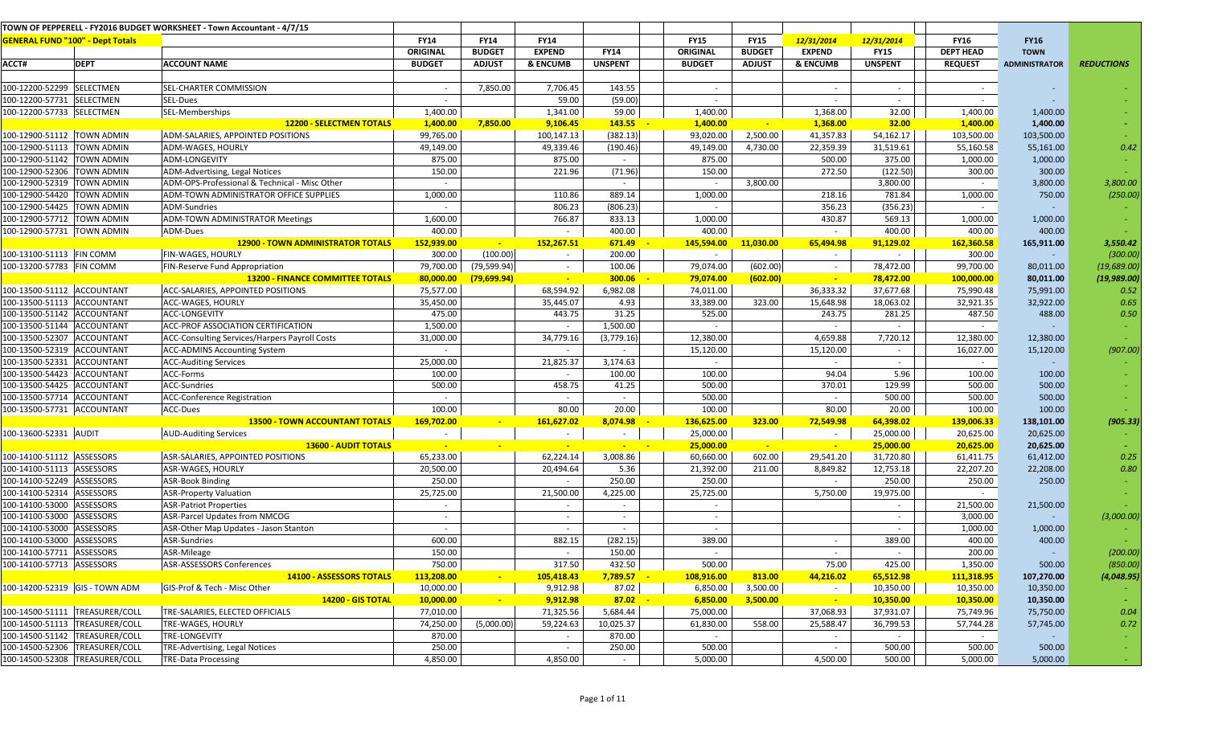|                                         |                                | TOWN OF PEPPERELL - FY2016 BUDGET WORKSHEET - Town Accountant - 4/7/15 |               |               |               |                |                          |               |               |                |                  |                      |                   |
|-----------------------------------------|--------------------------------|------------------------------------------------------------------------|---------------|---------------|---------------|----------------|--------------------------|---------------|---------------|----------------|------------------|----------------------|-------------------|
| <b>GENERAL FUND "100" - Dept Totals</b> |                                |                                                                        | <b>FY14</b>   | <b>FY14</b>   | <b>FY14</b>   |                | <b>FY15</b>              | <b>FY15</b>   | 12/31/2014    | 12/31/2014     | <b>FY16</b>      | <b>FY16</b>          |                   |
|                                         |                                |                                                                        | ORIGINAL      | <b>BUDGET</b> | <b>EXPEND</b> | <b>FY14</b>    | ORIGINAL                 | <b>BUDGET</b> | <b>EXPEND</b> | <b>FY15</b>    | <b>DEPT HEAD</b> | <b>TOWN</b>          |                   |
| ACCT#                                   | <b>DEPT</b>                    | <b>ACCOUNT NAME</b>                                                    | <b>BUDGET</b> | <b>ADJUST</b> | & ENCUMB      | <b>UNSPENT</b> | <b>BUDGET</b>            | <b>ADJUST</b> | & ENCUMB      | <b>UNSPENT</b> | <b>REQUEST</b>   | <b>ADMINISTRATOR</b> | <b>REDUCTIONS</b> |
|                                         |                                |                                                                        |               |               |               |                |                          |               |               |                |                  |                      |                   |
| 100-12200-52299 SELECTMEN               |                                | SEL-CHARTER COMMISSION                                                 | $\sim$        | 7,850.00      | 7,706.45      | 143.55         | $\sim$                   |               | $\sim$        | $\sim$         | $\sim$           |                      |                   |
| 100-12200-57731 SELECTMEN               |                                | SEL-Dues                                                               | $\sim$        |               | 59.00         | (59.00)        | $\sim$                   |               | $\sim$        | $\sim$         | $\sim$           |                      |                   |
| 100-12200-57733 SELECTMEN               |                                | SEL-Memberships                                                        | 1,400.00      |               | 1,341.00      | 59.00          | 1,400.00                 |               | 1,368.00      | 32.00          | 1,400.00         | 1,400.00             |                   |
|                                         |                                | <b>12200 - SELECTMEN TOTALS</b>                                        | 1,400.00      | 7,850.00      | 9,106.45      | 143.55         | 1,400.00                 | $\sim$        | 1,368.00      | 32.00          | 1,400.00         | 1,400.00             |                   |
| 100-12900-51112 TOWN ADMIN              |                                | ADM-SALARIES, APPOINTED POSITIONS                                      | 99,765.00     |               | 100,147.13    | (382.13)       | 93,020.00                | 2,500.00      | 41,357.83     | 54,162.17      | 103,500.00       | 103,500.00           |                   |
| 100-12900-51113 TOWN ADMIN              |                                | ADM-WAGES, HOURLY                                                      | 49,149.00     |               | 49,339.46     | (190.46)       | 49,149.00                | 4,730.00      | 22,359.39     | 31,519.61      | 55,160.58        | 55,161.00            | 0.42              |
| 100-12900-51142 TOWN ADMIN              |                                | ADM-LONGEVITY                                                          | 875.00        |               | 875.00        | $\sim$         | 875.00                   |               | 500.00        | 375.00         | 1,000.00         | 1,000.00             |                   |
| 100-12900-52306 TOWN ADMIN              |                                | ADM-Advertising, Legal Notices                                         | 150.00        |               | 221.96        | (71.96)        | 150.00                   |               | 272.50        | (122.50)       | 300.00           | 300.00               |                   |
| 100-12900-52319 TOWN ADMIN              |                                | ADM-OPS-Professional & Technical - Misc Other                          | $\sim$        |               |               | $\sim$         |                          | 3,800.00      |               | 3,800.00       | $\sim$           | 3,800.00             | 3,800.00          |
| 100-12900-54420 TOWN ADMIN              |                                | ADM-TOWN ADMINISTRATOR OFFICE SUPPLIES                                 | 1,000.00      |               | 110.86        | 889.14         | 1,000.00                 |               | 218.16        | 781.84         | 1,000.00         | 750.00               | (250.00)          |
| 100-12900-54425 TOWN ADMIN              |                                | ADM-Sundries                                                           | $\sim$        |               | 806.23        | (806.23)       | $\sim$                   |               | 356.23        | (356.23)       | $\sim$           |                      |                   |
| 100-12900-57712 TOWN ADMIN              |                                | <b>ADM-TOWN ADMINISTRATOR Meetings</b>                                 | 1,600.00      |               | 766.87        | 833.13         | 1,000.00                 |               | 430.87        | 569.13         | 1,000.00         | 1,000.00             |                   |
| 100-12900-57731 TOWN ADMIN              |                                | ADM-Dues                                                               | 400.00        |               |               | 400.00         | 400.00                   |               | $\sim$        | 400.00         | 400.00           | 400.00               |                   |
|                                         |                                | <b>12900 - TOWN ADMINISTRATOR TOTALS</b>                               | 152,939.00    | $\sim$        | 152,267.51    | 671.49         | 145,594.00               | 11,030.00     | 65,494.98     | 91,129.02      | 162,360.58       | 165,911.00           | 3,550.42          |
| 100-13100-51113 FIN COMM                |                                | FIN-WAGES, HOURLY                                                      | 300.00        | (100.00)      | $\sim$        | 200.00         |                          |               | $\sim$        |                | 300.00           |                      | (300.00)          |
| 100-13200-57783 FIN COMM                |                                | FIN-Reserve Fund Appropriation                                         | 79,700.00     | (79, 599.94)  | $\sim$        | 100.06         | 79,074.00                | (602.00)      | $\sim$        | 78,472.00      | 99,700.00        | 80,011.00            | (19, 689.00)      |
|                                         |                                | <b>13200 - FINANCE COMMITTEE TOTALS</b>                                | 80,000.00     | (79, 699.94)  | $\sim$        | 300.06         | 79,074.00                | (602.00)      | $\sim$        | 78,472.00      | 100,000.00       | 80,011.00            | (19, 989.00)      |
| 100-13500-51112 ACCOUNTANT              |                                | ACC-SALARIES, APPOINTED POSITIONS                                      | 75,577.00     |               | 68,594.92     | 6,982.08       | 74,011.00                |               | 36,333.32     | 37,677.68      | 75,990.48        | 75,991.00            | 0.52              |
| 100-13500-51113 ACCOUNTANT              |                                | ACC-WAGES, HOURLY                                                      | 35,450.00     |               | 35,445.07     | 4.93           | 33,389.00                | 323.00        | 15,648.98     | 18,063.02      | 32,921.35        | 32,922.00            | 0.65              |
| 100-13500-51142 ACCOUNTANT              |                                | <b>ACC-LONGEVITY</b>                                                   | 475.00        |               | 443.75        | 31.25          | 525.00                   |               | 243.75        | 281.25         | 487.50           | 488.00               | 0.50              |
| 100-13500-51144 ACCOUNTANT              |                                | ACC-PROF ASSOCIATION CERTIFICATION                                     | 1,500.00      |               | $\sim$        | 1,500.00       |                          |               | $\sim$        |                | $\sim$           |                      |                   |
| 100-13500-52307 ACCOUNTANT              |                                | ACC-Consulting Services/Harpers Payroll Costs                          | 31,000.00     |               | 34,779.16     | (3,779.16)     | 12,380.00                |               | 4,659.88      | 7,720.12       | 12,380.00        | 12,380.00            |                   |
| 100-13500-52319 ACCOUNTANT              |                                | <b>ACC-ADMINS Accounting System</b>                                    | $\sim$        |               | $\sim$        | $\sim$         | 15,120.00                |               | 15,120.00     | $\sim$         | 16,027.00        | 15,120.00            | (907.00)          |
| 100-13500-52331 ACCOUNTANT              |                                | <b>ACC-Auditing Services</b>                                           | 25,000.00     |               | 21,825.37     | 3,174.63       |                          |               | $\sim$        | $\sim$         | $\sim$           |                      |                   |
| 100-13500-54423 ACCOUNTANT              |                                | ACC-Forms                                                              | 100.00        |               |               | 100.00         | 100.00                   |               | 94.04         | 5.96           | 100.00           | 100.00               |                   |
| 100-13500-54425 ACCOUNTANT              |                                | ACC-Sundries                                                           | 500.00        |               | 458.75        | 41.25          | 500.00                   |               | 370.01        | 129.99         | 500.00           | 500.00               |                   |
| 100-13500-57714 ACCOUNTANT              |                                | <b>ACC-Conference Registration</b>                                     |               |               | $\sim$        | $\sim$         | 500.00                   |               | $\sim$        | 500.00         | 500.00           | 500.00               |                   |
| 100-13500-57731 ACCOUNTANT              |                                | ACC-Dues                                                               | 100.00        |               | 80.00         | 20.00          | 100.00                   |               | 80.00         | 20.00          | 100.00           | 100.00               |                   |
|                                         |                                | <b>13500 - TOWN ACCOUNTANT TOTALS</b>                                  | 169,702.00    |               | 161,627.02    | 8,074.98       | 136,625.00               | 323.00        | 72,549.98     | 64,398.02      | 139,006.33       | 138,101.00           | (905.33)          |
| 100-13600-52331 AUDIT                   |                                | <b>AUD-Auditing Services</b>                                           | $\sim$        |               | $\sim$        | $\sim$         | 25,000.00                |               | $\sim$        | 25,000.00      | 20,625.00        | 20,625.00            |                   |
|                                         |                                | <b>13600 - AUDIT TOTALS</b>                                            |               |               |               |                | 25,000.00                | $\sim$        |               | 25,000.00      | 20,625.00        | 20,625.00            |                   |
| 100-14100-51112 ASSESSORS               |                                | ASR-SALARIES, APPOINTED POSITIONS                                      | 65,233.00     |               | 62,224.14     | 3,008.86       | 60,660.00                | 602.00        | 29,541.20     | 31,720.80      | 61,411.75        | 61,412.00            | 0.25              |
| 100-14100-51113 ASSESSORS               |                                | ASR-WAGES, HOURLY                                                      | 20,500.00     |               | 20,494.64     | 5.36           | 21,392.00                | 211.00        | 8,849.82      | 12,753.18      | 22,207.20        | 22,208.00            | 0.80              |
| 100-14100-52249 ASSESSORS               |                                | <b>ASR-Book Binding</b>                                                | 250.00        |               | $\sim$        | 250.00         | 250.00                   |               |               | 250.00         | 250.00           | 250.00               |                   |
| 100-14100-52314 ASSESSORS               |                                | <b>ASR-Property Valuation</b>                                          | 25,725.00     |               | 21,500.00     | 4,225.00       | 25,725.00                |               | 5,750.00      | 19,975.00      | $\sim$           |                      |                   |
| 100-14100-53000 ASSESSORS               |                                | <b>ASR-Patriot Properties</b>                                          | $\sim$        |               | $\sim$        | $\sim$         | $\overline{\phantom{0}}$ |               |               | $\sim$         | 21,500.00        | 21,500.00            |                   |
| 100-14100-53000 ASSESSORS               |                                | ASR-Parcel Updates from NMCOG                                          | $\sim$        |               | $\sim$        | $\sim$         | $\sim$                   |               |               | $\sim$         | 3,000.00         |                      | (3,000.00)        |
| 100-14100-53000                         | ASSESSORS                      | ASR-Other Map Updates - Jason Stanton                                  |               |               |               |                |                          |               |               |                | 1,000.00         | 1,000.00             |                   |
| 100-14100-53000                         | ASSESSORS                      | ASR-Sundries                                                           | 600.00        |               | 882.15        | (282.15)       | 389.00                   |               | $\sim$        | 389.00         | 400.00           | 400.00               |                   |
| 100-14100-57711 ASSESSORS               |                                | ASR-Mileage                                                            | 150.00        |               | $\sim$        | 150.00         | $\sim$                   |               |               |                | 200.00           |                      | (200.00)          |
| 100-14100-57713 ASSESSORS               |                                | <b>ASR-ASSESSORS Conferences</b>                                       | 750.00        |               | 317.50        | 432.50         | 500.00                   |               | 75.00         | 425.00         | 1,350.00         | 500.00               | (850.00)          |
|                                         |                                | 14100 - ASSESSORS TOTALS                                               | 113,208.00    | $\sim$        | 105,418.43    | 7,789.57       | 108,916.00               | 813.00        | 44,216.02     | 65,512.98      | 111,318.95       | 107,270.00           | (4,048.95)        |
| 100-14200-52319 GIS - TOWN ADM          |                                | GIS-Prof & Tech - Misc Other                                           | 10,000.00     |               | 9,912.98      | 87.02          | 6,850.00                 | 3,500.00      |               | 10,350.00      | 10,350.00        | 10,350.00            |                   |
|                                         |                                | <b>14200 - GIS TOTAL</b>                                               | 10,000.00     |               | 9,912.98      | 87.02          | 6,850.00                 | 3,500.00      | $\sim$        | 10,350.00      | 10,350.00        | 10,350.00            |                   |
|                                         | 100-14500-51111 TREASURER/COLL | TRE-SALARIES, ELECTED OFFICIALS                                        | 77,010.00     |               | 71,325.56     | 5,684.44       | 75,000.00                |               | 37,068.93     | 37,931.07      | 75,749.96        | 75,750.00            | 0.04              |
|                                         | 100-14500-51113 TREASURER/COLL | <b>TRE-WAGES, HOURLY</b>                                               | 74,250.00     | (5,000.00)    | 59,224.63     | 10,025.37      | 61,830.00                | 558.00        | 25,588.47     | 36,799.53      | 57,744.28        | 57,745.00            | 0.72              |
| 100-14500-51142 TREASURER/COLL          |                                | <b>TRE-LONGEVITY</b>                                                   | 870.00        |               | $\sim$        | 870.00         |                          |               | $\sim$        |                | $\sim$           |                      |                   |
|                                         | 100-14500-52306 TREASURER/COLL | TRE-Advertising, Legal Notices                                         | 250.00        |               | $\sim$        | 250.00         | 500.00                   |               | $\sim$        | 500.00         | 500.00           | 500.00               |                   |
|                                         | 100-14500-52308 TREASURER/COLL | <b>TRE-Data Processing</b>                                             | 4,850.00      |               | 4,850.00      | $\sim$         | 5,000.00                 |               | 4,500.00      | 500.00         | 5,000.00         | 5,000.00             | $\sim$            |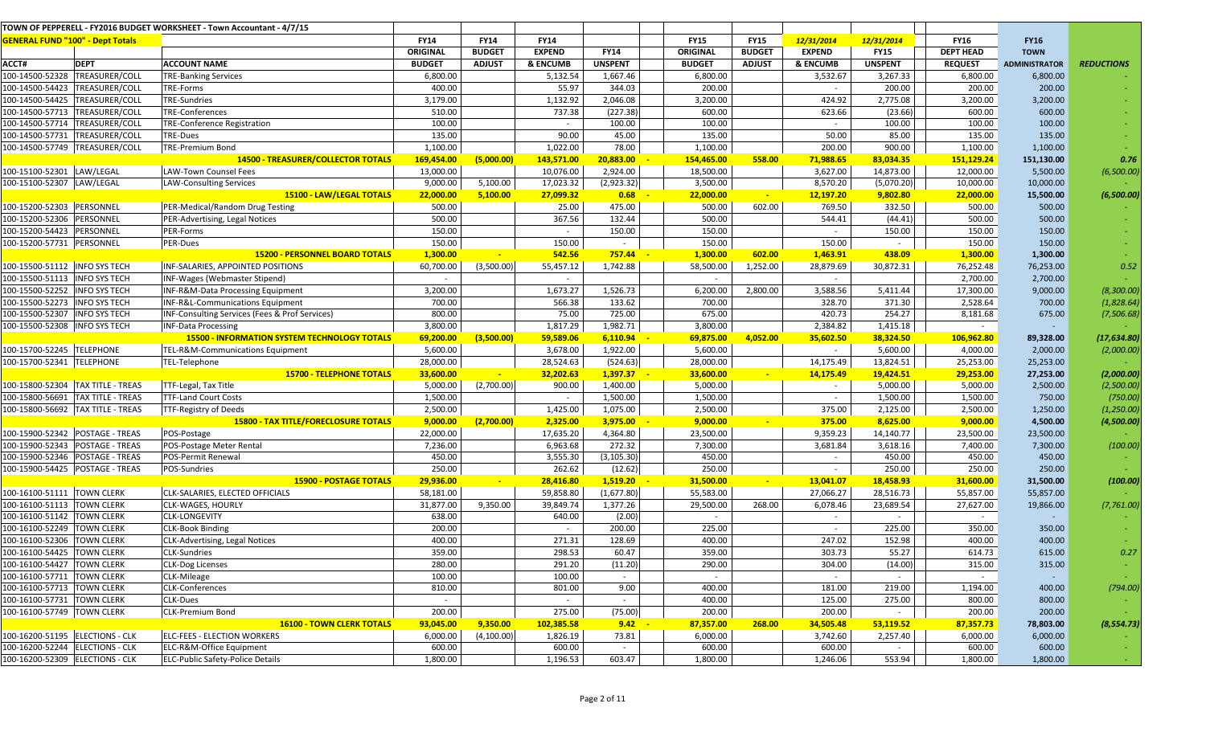|                                                          |                                                   | TOWN OF PEPPERELL - FY2016 BUDGET WORKSHEET - Town Accountant - 4/7/15 |                  |               |                  |                  |                  |               |                    |                  |                     |                      |                   |
|----------------------------------------------------------|---------------------------------------------------|------------------------------------------------------------------------|------------------|---------------|------------------|------------------|------------------|---------------|--------------------|------------------|---------------------|----------------------|-------------------|
| <b>GENERAL FUND "100" - Dept Totals</b>                  |                                                   |                                                                        | <b>FY14</b>      | <b>FY14</b>   | <b>FY14</b>      |                  | <b>FY15</b>      | <b>FY15</b>   | 12/31/2014         | 12/31/2014       | <b>FY16</b>         | <b>FY16</b>          |                   |
|                                                          |                                                   |                                                                        | ORIGINAL         | <b>BUDGET</b> | <b>EXPEND</b>    | <b>FY14</b>      | <b>ORIGINAL</b>  | <b>BUDGET</b> | <b>EXPEND</b>      | <b>FY15</b>      | <b>DEPT HEAD</b>    | <b>TOWN</b>          |                   |
| ACCT#                                                    | <b>DEPT</b>                                       | <b>ACCOUNT NAME</b>                                                    | <b>BUDGET</b>    | <b>ADJUST</b> | & ENCUMB         | <b>UNSPENT</b>   | <b>BUDGET</b>    | <b>ADJUST</b> | & ENCUMB           | <b>UNSPENT</b>   | <b>REQUEST</b>      | <b>ADMINISTRATOR</b> | <b>REDUCTIONS</b> |
|                                                          | 100-14500-52328 TREASURER/COLL                    | <b>TRE-Banking Services</b>                                            | 6,800.00         |               | 5,132.54         | 1,667.46         | 6,800.00         |               | 3,532.67           | 3,267.33         | 6,800.00            | 6,800.00             |                   |
|                                                          | 100-14500-54423 TREASURER/COLL                    | TRE-Forms                                                              | 400.00           |               | 55.97            | 344.03           | 200.00           |               | $\sim$             | 200.00           | 200.00              | 200.00               |                   |
|                                                          | 100-14500-54425 TREASURER/COLL                    | <b>TRE-Sundries</b>                                                    | 3,179.00         |               | 1,132.92         | 2,046.08         | 3,200.00         |               | 424.92             | 2,775.08         | 3,200.00            | 3,200.00             |                   |
|                                                          | 100-14500-57713 TREASURER/COLL                    | <b>TRE-Conferences</b>                                                 | 510.00           |               | 737.38           | (227.38)         | 600.00           |               | 623.66             | (23.66)          | 600.00              | 600.00               |                   |
|                                                          | 100-14500-57714 TREASURER/COLL                    | <b>TRE-Conference Registration</b>                                     | 100.00           |               | $\sim$           | 100.00           | 100.00           |               | $\sim$             | 100.00           | 100.00              | 100.00               |                   |
| 100-14500-57731                                          | TREASURER/COLL                                    | TRE-Dues                                                               | 135.00           |               | 90.00            | 45.00            | 135.00           |               | 50.00              | 85.00            | 135.00              | 135.00               |                   |
|                                                          | 100-14500-57749 TREASURER/COLL                    | <b>TRE-Premium Bond</b>                                                | 1,100.00         |               | 1,022.00         | 78.00            | 1,100.00         |               | 200.00             | 900.00           | 1,100.00            | 1,100.00             |                   |
|                                                          |                                                   | <b>14500 - TREASURER/COLLECTOR TOTALS</b>                              | 169,454.00       | (5,000.00)    | 143,571.00       | 20,883.00        | 154,465.00       | 558.00        | 71,988.65          | 83,034.35        | 151,129.24          | 151,130.00           | 0.76              |
| 100-15100-52301 LAW/LEGAL                                |                                                   | <b>LAW-Town Counsel Fees</b>                                           | 13,000.00        |               | 10,076.00        | 2,924.00         | 18,500.00        |               | 3,627.00           | 14,873.00        | 12,000.00           | 5,500.00             | (6,500.00)        |
| 100-15100-52307 LAW/LEGAL                                |                                                   | <b>LAW-Consulting Services</b>                                         | 9,000.00         | 5,100.00      | 17,023.32        | (2,923.32)       | 3,500.00         |               | 8,570.20           | (5,070.20)       | 10,000.00           | 10,000.00            |                   |
|                                                          |                                                   | 15100 - LAW/LEGAL TOTALS                                               | 22,000.00        | 5,100.00      | 27,099.32        | 0.68             | 22,000.00        | $\sim$        | 12,197.20          | 9,802.80         | 22,000.00           | 15,500.00            | (6,500.00)        |
| 100-15200-52303 PERSONNEL                                |                                                   | PER-Medical/Random Drug Testing                                        | 500.00           |               | 25.00            | 475.00           | 500.00           | 602.00        | 769.50             | 332.50           | 500.00              | 500.00               |                   |
| 100-15200-52306                                          | PERSONNEL                                         | PER-Advertising, Legal Notices                                         | 500.00           |               | 367.56           | 132.44           | 500.00           |               | 544.41             | (44.41)          | 500.00              | 500.00               |                   |
| 100-15200-54423 PERSONNEL                                |                                                   | PER-Forms                                                              | 150.00           |               | $\sim$           | 150.00           | 150.00           |               | $\sim$             | 150.00           | 150.00              | 150.00               |                   |
| 100-15200-57731  PERSONNEL                               |                                                   | PER-Dues                                                               | 150.00           |               | 150.00           | $\sim$           | 150.00           |               | 150.00             | $\sim$           | 150.00              | 150.00               |                   |
|                                                          |                                                   | <b>15200 - PERSONNEL BOARD TOTALS</b>                                  | 1,300.00         | $\mathbf{u}$  | 542.56           | 757.44           | 1,300.00         | 602.00        | 1,463.91           | 438.09           | 1,300.00            | 1,300.00             |                   |
| 100-15500-51112  INFO SYS TECH                           |                                                   | INF-SALARIES, APPOINTED POSITIONS                                      | 60,700.00        | (3,500.00)    | 55,457.12        | 1,742.88         | 58,500.00        | 1,252.00      | 28,879.69          | 30,872.31        | 76,252.48           | 76,253.00            | 0.52              |
| 100-15500-51113  INFO SYS TECH                           |                                                   | INF-Wages (Webmaster Stipend)                                          | $\sim$           |               | $\sim$           |                  | $\sim$           |               | $\sim$             |                  | 2,700.00            | 2,700.00             |                   |
| 100-15500-52252  INFO SYS TECH                           |                                                   | INF-R&M-Data Processing Equipment                                      | 3,200.00         |               | 1,673.27         | 1,526.73         | 6,200.00         | 2,800.00      | 3,588.56           | 5,411.44         | 17,300.00           | 9,000.00             | (8,300.00)        |
| 100-15500-52273  INFO SYS TECH                           |                                                   | INF-R&L-Communications Equipment                                       | 700.00           |               | 566.38           | 133.62           | 700.00           |               | 328.70             | 371.30           | 2,528.64            | 700.00               | (1,828.64)        |
| 100-15500-52307   INFO SYS TECH                          |                                                   | INF-Consulting Services (Fees & Prof Services)                         | 800.00           |               | 75.00            | 725.00           | 675.00           |               | 420.73             | 254.27           | 8,181.68            | 675.00               | (7, 506.68)       |
| 100-15500-52308 INFO SYS TECH                            |                                                   | <b>INF-Data Processing</b>                                             | 3,800.00         |               | 1,817.29         | 1,982.71         | 3,800.00         |               | 2,384.82           | 1,415.18         | $\sim$              |                      |                   |
|                                                          |                                                   | <b>15500 - INFORMATION SYSTEM TECHNOLOGY TOTALS</b>                    | 69,200.00        | (3,500.00)    | 59,589.06        | 6,110.94         | 69,875.00        | 4,052.00      | 35,602.50          | 38,324.50        | 106,962.80          | 89,328.00            | (17, 634.80)      |
| L00-15700-52245 TELEPHONE                                |                                                   | TEL-R&M-Communications Equipment                                       | 5,600.00         |               | 3,678.00         | 1,922.00         | 5,600.00         |               | $\sim$             | 5,600.00         | 4,000.00            | 2,000.00             | (2,000.00)        |
| 100-15700-52341 TELEPHONE                                |                                                   | TEL-Telephone                                                          | 28,000.00        |               | 28,524.63        | (524.63)         | 28,000.00        |               | 14,175.49          | 13,824.51        | 25,253.00           | 25,253.00            |                   |
|                                                          |                                                   | <b>15700 - TELEPHONE TOTALS</b>                                        | 33,600.00        |               | 32,202.63        | 1,397.37         | 33,600.00        |               | 14,175.49          | 19,424.51        | 29,253.00           | 27,253.00            | (2,000.00)        |
|                                                          | 100-15800-52304 TAX TITLE - TREAS                 | TTF-Legal, Tax Title                                                   | 5,000.00         | (2,700.00)    | 900.00           | 1,400.00         | 5,000.00         |               |                    | 5,000.00         | 5,000.00            | 2,500.00             | (2,500.00)        |
|                                                          | 100-15800-56691   TAX TITLE - TREAS               | <b>TTF-Land Court Costs</b>                                            | 1,500.00         |               | $\sim$           | 1,500.00         | 1,500.00         |               | $\sim$             | 1,500.00         | 1,500.00            | 750.00               | (750.00)          |
|                                                          | $\overline{100-15800}$ -56692   TAX TITLE - TREAS | TTF-Registry of Deeds                                                  | 2,500.00         |               | 1,425.00         | 1,075.00         | 2,500.00         |               | 375.00             | 2,125.00         | 2,500.00            | 1,250.00             | (1, 250.00)       |
|                                                          |                                                   | <b>15800 - TAX TITLE/FORECLOSURE TOTALS</b>                            | 9,000.00         | (2,700.00)    | 2,325.00         | 3,975.00         | 9,000.00         | $\sim$        | 375.00             | 8,625.00         | 9,000.00            | 4,500.00             | (4,500.00)        |
|                                                          | 100-15900-52342 POSTAGE - TREAS                   | POS-Postage                                                            | 22,000.00        |               | 17,635.20        | 4,364.80         | 23,500.00        |               | 9,359.23           | 14,140.77        | 23,500.00           | 23,500.00            |                   |
|                                                          |                                                   | POS-Postage Meter Rental                                               | 7,236.00         |               | 6,963.68         | 272.32           | 7,300.00         |               | 3,681.84           | 3,618.16         | 7,400.00            | 7,300.00             | (100.00)          |
|                                                          | 100-15900-52346 POSTAGE - TREAS                   | POS-Permit Renewal                                                     | 450.00           |               | 3,555.30         | (3, 105.30)      | 450.00           |               | $\sim$             | 450.00           | 450.00              | 450.00               |                   |
|                                                          | 100-15900-54425 POSTAGE - TREAS                   | POS-Sundries                                                           | 250.00           |               | 262.62           | (12.62)          | 250.00           |               | $\sim$             | 250.00           | 250.00              | 250.00               |                   |
|                                                          |                                                   | <b>15900 - POSTAGE TOTALS</b>                                          | 29,936.00        |               | 28,416.80        | 1,519.20         | 31,500.00        |               | 13,041.07          | 18,458.93        | 31,600.00           | 31,500.00            | (100.00)          |
| 100-16100-51111  TOWN CLERK                              |                                                   | CLK-SALARIES, ELECTED OFFICIALS                                        | 58,181.00        |               | 59,858.80        | (1,677.80)       | 55,583.00        |               | 27,066.27          | 28,516.73        | 55,857.00           | 55,857.00            |                   |
| 100-16100-51113 TOWN CLERK                               |                                                   | CLK-WAGES, HOURLY<br><b>CLK-LONGEVITY</b>                              | 31,877.00        | 9,350.00      | 39,849.74        | 1,377.26         | 29,500.00        | 268.00        | 6,078.46<br>$\sim$ | 23,689.54        | 27,627.00           | 19,866.00            | (7, 761.00)       |
| 100-16100-51142 TOWN CLERK<br>100-16100-52249 TOWN CLERK |                                                   | <b>CLK-Book Binding</b>                                                | 638.00<br>200.00 |               | 640.00<br>$\sim$ | (2.00)<br>200.00 | 225.00           |               |                    | 225.00           | $\sim$<br>350.00    | 350.00               |                   |
| 100-16100-52306 TOWN CLERK                               |                                                   | CLK-Advertising, Legal Notices                                         | 400.00           |               | 271.31           | 128.69           | 400.00           |               | 247.02             | 152.98           | 400.00              | 400.00               |                   |
| 100-16100-54425 TOWN CLERK                               |                                                   |                                                                        | 359.00           |               | 298.53           | 60.47            | 359.00           |               | 303.73             | 55.27            | 614.73              | 615.00               | 0.27              |
|                                                          |                                                   | <b>CLK-Sundries</b>                                                    |                  |               |                  |                  |                  |               |                    |                  |                     |                      |                   |
| 100-16100-54427 TOWN CLERK                               |                                                   | <b>CLK-Dog Licenses</b>                                                | 280.00<br>100.00 |               | 291.20<br>100.00 | (11.20)          | 290.00           |               | 304.00             | (14.00)          | 315.00              | 315.00               |                   |
| 100-16100-57711  TOWN CLERK                              |                                                   | CLK-Mileage<br><b>CLK-Conferences</b>                                  |                  |               | 801.00           | $\sim$<br>9.00   | $\sim$           |               | $\sim$             | $\sim$           | $\sim$              | $\sim$               |                   |
| 100-16100-57713 TOWN CLERK<br>100-16100-57731 TOWN CLERK |                                                   | CLK-Dues                                                               | 810.00<br>$\sim$ |               | $\sim$           | $\sim$           | 400.00<br>400.00 |               | 181.00<br>125.00   | 219.00<br>275.00 | 1,194.00<br>800.00  | 400.00               | (794.00)          |
| 100-16100-57749 TOWN CLERK                               |                                                   | <b>CLK-Premium Bond</b>                                                | 200.00           |               | 275.00           | (75.00)          | 200.00           |               | 200.00             |                  |                     | 800.00               |                   |
|                                                          |                                                   | <b>16100 - TOWN CLERK TOTALS</b>                                       | 93,045.00        | 9,350.00      | 102,385.58       | 9.42             | 87,357.00        | 268.00        | 34,505.48          | 53,119.52        | 200.00<br>87,357.73 | 200.00<br>78,803.00  | (8, 554.73)       |
| 100-16200-51195 ELECTIONS - CLK                          |                                                   | <b>ELC-FEES - ELECTION WORKERS</b>                                     | 6,000.00         | (4,100.00)    | 1,826.19         | 73.81            | 6,000.00         |               | 3,742.60           | 2,257.40         | 6,000.00            | 6,000.00             |                   |
| 100-16200-52244 ELECTIONS - CLK                          |                                                   | <b>ELC-R&amp;M-Office Equipment</b>                                    | 600.00           |               | 600.00           | $\sim$           | 600.00           |               | 600.00             |                  | 600.00              | 600.00               |                   |
| 100-16200-52309 ELECTIONS - CLK                          |                                                   | <b>ELC-Public Safety-Police Details</b>                                | 1,800.00         |               | 1,196.53         | 603.47           | 1,800.00         |               | 1,246.06           | 553.94           | 1,800.00            | 1,800.00             |                   |
|                                                          |                                                   |                                                                        |                  |               |                  |                  |                  |               |                    |                  |                     |                      |                   |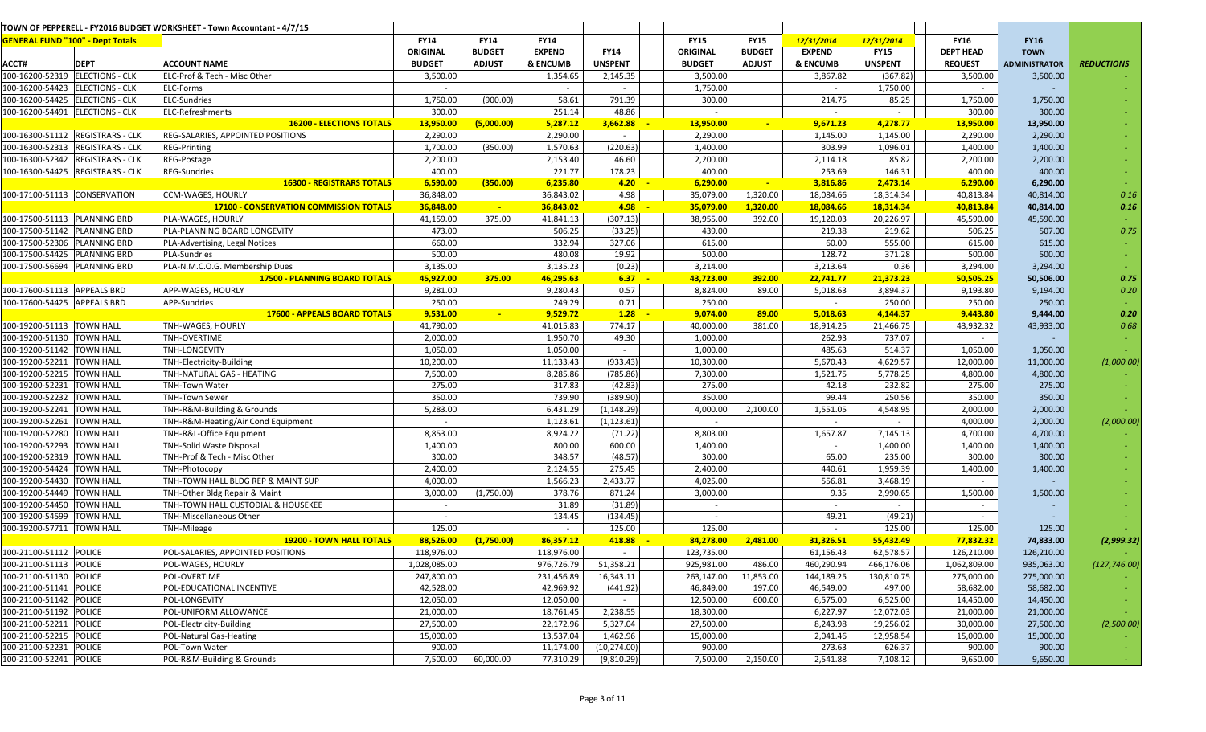|                                                  |                                         | TOWN OF PEPPERELL - FY2016 BUDGET WORKSHEET - Town Accountant - 4/7/15 |               |               |                     |                |               |               |               |                |                        |                      |                   |
|--------------------------------------------------|-----------------------------------------|------------------------------------------------------------------------|---------------|---------------|---------------------|----------------|---------------|---------------|---------------|----------------|------------------------|----------------------|-------------------|
|                                                  | <b>GENERAL FUND "100" - Dept Totals</b> |                                                                        | <b>FY14</b>   | <b>FY14</b>   | <b>FY14</b>         |                | <b>FY15</b>   | <b>FY15</b>   | 12/31/2014    | 12/31/2014     | <b>FY16</b>            | <b>FY16</b>          |                   |
|                                                  |                                         |                                                                        | ORIGINAL      | <b>BUDGET</b> | <b>EXPEND</b>       | <b>FY14</b>    | ORIGINAL      | <b>BUDGET</b> | <b>EXPEND</b> | <b>FY15</b>    | <b>DEPT HEAD</b>       | <b>TOWN</b>          |                   |
| ACCT#                                            | <b>DEPT</b>                             | <b>ACCOUNT NAME</b>                                                    | <b>BUDGET</b> | <b>ADJUST</b> | <b>&amp; ENCUMB</b> | <b>UNSPENT</b> | <b>BUDGET</b> | <b>ADJUST</b> | & ENCUMB      | <b>UNSPENT</b> | <b>REQUEST</b>         | <b>ADMINISTRATOR</b> | <b>REDUCTIONS</b> |
|                                                  | 100-16200-52319 ELECTIONS - CLK         | ELC-Prof & Tech - Misc Other                                           | 3,500.00      |               | 1,354.65            | 2,145.35       | 3,500.00      |               | 3,867.82      | (367.82)       | 3,500.00               | 3,500.00             |                   |
|                                                  | 100-16200-54423 ELECTIONS - CLK         | ELC-Forms                                                              | $\sim$        |               | $\sim$              | $\sim$         | 1,750.00      |               | $\sim$        | 1,750.00       | $\sim$                 |                      |                   |
|                                                  | 100-16200-54425  ELECTIONS - CLK        | ELC-Sundries                                                           | 1,750.00      | (900.00)      | 58.61               | 791.39         | 300.00        |               | 214.75        | 85.25          | 1,750.00               | 1,750.00             |                   |
|                                                  | 100-16200-54491 ELECTIONS - CLK         | ELC-Refreshments                                                       | 300.00        |               | 251.14              | 48.86          |               |               | $\sim$        | $\sim$         | 300.00                 | 300.00               |                   |
|                                                  |                                         | <b>16200 - ELECTIONS TOTALS</b>                                        | 13,950.00     | (5,000.00)    | 5,287.12            | 3,662.88       | 13,950.00     | $\sim$        | 9,671.23      | 4,278.77       | 13,950.00              | 13,950.00            |                   |
|                                                  | 100-16300-51112 REGISTRARS - CLK        | REG-SALARIES, APPOINTED POSITIONS                                      | 2,290.00      |               | 2,290.00            | $\sim$         | 2,290.00      |               | 1,145.00      | 1,145.00       | 2,290.00               | 2,290.00             |                   |
|                                                  | 100-16300-52313 REGISTRARS - CLK        | <b>REG-Printing</b>                                                    | 1,700.00      | (350.00)      | 1,570.63            | (220.63)       | 1,400.00      |               | 303.99        | 1,096.01       | 1,400.00               | 1,400.00             |                   |
|                                                  | 100-16300-52342 REGISTRARS - CLK        | REG-Postage                                                            | 2,200.00      |               | 2,153.40            | 46.60          | 2,200.00      |               | 2,114.18      | 85.82          | 2,200.00               | 2,200.00             |                   |
|                                                  | 100-16300-54425 REGISTRARS - CLK        | <b>REG-Sundries</b>                                                    | 400.00        |               | 221.77              | 178.23         | 400.00        |               | 253.69        | 146.31         | 400.00                 | 400.00               |                   |
|                                                  |                                         | <b>16300 - REGISTRARS TOTALS</b>                                       | 6,590.00      | (350.00)      | 6,235.80            | 4.20           | 6,290.00      | $\sim$        | 3,816.86      | 2,473.14       | 6,290.00               | 6,290.00             |                   |
|                                                  | 100-17100-51113 CONSERVATION            | CCM-WAGES, HOURLY                                                      | 36,848.00     |               | 36,843.02           | 4.98           | 35,079.00     | 1,320.00      | 18,084.66     | 18,314.34      | 40,813.84              | 40,814.00            | 0.16              |
|                                                  |                                         | <b>17100 - CONSERVATION COMMISSION TOTALS</b>                          | 36,848.00     |               | 36,843.02           | 4.98           | 35,079.00     | 1,320.00      | 18,084.66     | 18,314.34      | 40,813.84              | 40,814.00            | 0.16              |
| 100-17500-51113 PLANNING BRD                     |                                         | PLA-WAGES, HOURLY                                                      | 41,159.00     | 375.00        | 41,841.13           | (307.13)       | 38,955.00     | 392.00        | 19,120.03     | 20,226.97      | 45,590.00              | 45,590.00            |                   |
| 100-17500-51142 PLANNING BRD                     |                                         | PLA-PLANNING BOARD LONGEVITY                                           | 473.00        |               | 506.25              | (33.25)        | 439.00        |               | 219.38        | 219.62         | 506.25                 | 507.00               | 0.75              |
| 100-17500-52306 PLANNING BRD                     |                                         | PLA-Advertising, Legal Notices                                         | 660.00        |               | 332.94              | 327.06         | 615.00        |               | 60.00         | 555.00         | 615.00                 | 615.00               |                   |
| 100-17500-54425   PLANNING BRD                   |                                         | <b>PLA-Sundries</b>                                                    | 500.00        |               | 480.08              | 19.92          | 500.00        |               | 128.72        | 371.28         | 500.00                 | 500.00               | $\sim$            |
| 100-17500-56694  PLANNING BRD                    |                                         | PLA-N.M.C.O.G. Membership Dues                                         | 3,135.00      |               | 3,135.23            | (0.23)         | 3,214.00      |               | 3,213.64      | 0.36           | 3,294.00               | 3,294.00             |                   |
|                                                  |                                         | <b>17500 - PLANNING BOARD TOTALS</b>                                   | 45,927.00     | 375.00        | 46,295.63           | 6.37           | 43,723.00     | 392.00        | 22,741.77     | 21,373.23      | 50,505.25              | 50,506.00            | 0.75              |
| 100-17600-51113 APPEALS BRD                      |                                         | APP-WAGES, HOURLY                                                      | 9,281.00      |               | 9,280.43            | 0.57           | 8,824.00      | 89.00         | 5,018.63      | 3,894.37       | 9,193.80               | 9,194.00             | 0.20              |
| 100-17600-54425 APPEALS BRD                      |                                         | APP-Sundries                                                           | 250.00        |               | 249.29              | 0.71           | 250.00        |               | $\sim$        | 250.00         | 250.00                 | 250.00               |                   |
|                                                  |                                         | 17600 - APPEALS BOARD TOTALS                                           | 9,531.00      |               | 9,529.72            | 1.28           | 9,074.00      | 89.00         | 5,018.63      | 4,144.37       | 9,443.80               | 9,444.00             | 0.20              |
| 100-19200-51113 TOWN HALL                        |                                         | TNH-WAGES, HOURLY                                                      | 41,790.00     |               | 41,015.83           | 774.17         | 40,000.00     | 381.00        | 18,914.25     | 21,466.75      | 43,932.32              | 43,933.00            | 0.68              |
| 100-19200-51130 TOWN HALL                        |                                         | TNH-OVERTIME                                                           | 2,000.00      |               | 1,950.70            | 49.30          | 1,000.00      |               | 262.93        | 737.07         | $\sim$                 |                      |                   |
| 100-19200-51142 TOWN HALL                        |                                         | TNH-LONGEVITY                                                          | 1,050.00      |               | 1,050.00            | $\sim$         | 1,000.00      |               | 485.63        | 514.37         | 1,050.00               | 1,050.00             |                   |
| 100-19200-52211 TOWN HALL                        |                                         | TNH-Electricity-Building                                               | 10,200.00     |               | 11,133.43           | (933.43)       | 10,300.00     |               | 5,670.43      | 4,629.57       | 12,000.00              | 11,000.00            | (1,000.00)        |
| 100-19200-52215 TOWN HALL                        |                                         | TNH-NATURAL GAS - HEATING                                              | 7,500.00      |               | 8,285.86            | (785.86)       | 7,300.00      |               | 1,521.75      | 5,778.25       | 4,800.00               | 4,800.00             |                   |
| 100-19200-52231 TOWN HALL                        |                                         | <b>TNH-Town Water</b>                                                  | 275.00        |               | 317.83              | (42.83)        | 275.00        |               | 42.18         | 232.82         | 275.00                 | 275.00               |                   |
| 100-19200-52232 TOWN HALL                        |                                         | <b>TNH-Town Sewer</b>                                                  | 350.00        |               | 739.90              | (389.90)       | 350.00        |               | 99.44         | 250.56         | 350.00                 | 350.00               |                   |
| 100-19200-52241 TOWN HALL                        |                                         | TNH-R&M-Building & Grounds                                             | 5,283.00      |               | 6,431.29            | (1, 148.29)    | 4,000.00      | 2,100.00      | 1,551.05      | 4,548.95       | 2,000.00               | 2,000.00             |                   |
| 100-19200-52261 TOWN HALL                        |                                         | TNH-R&M-Heating/Air Cond Equipment                                     | $\sim$        |               | 1,123.61            | (1, 123.61)    | $\sim$        |               | $\sim$        | $\sim$         | 4,000.00               | 2,000.00             | (2,000.00)        |
| 100-19200-52280 TOWN HALL                        |                                         | TNH-R&L-Office Equipment                                               | 8,853.00      |               | 8,924.22            | (71.22)        | 8,803.00      |               | 1,657.87      | 7,145.13       | 4,700.00               | 4,700.00             |                   |
| 100-19200-52293 TOWN HALL                        |                                         | <b>TNH-Solid Waste Disposal</b>                                        | 1,400.00      |               | 800.00              | 600.00         | 1,400.00      |               | $\sim$        | 1,400.00       | 1,400.00               | 1,400.00             |                   |
| 100-19200-52319 TOWN HALL                        |                                         | TNH-Prof & Tech - Misc Other                                           | 300.00        |               | 348.57              | (48.57)        | 300.00        |               | 65.00         | 235.00         | 300.00                 | 300.00               |                   |
| 100-19200-54424 TOWN HALL                        |                                         | TNH-Photocopy                                                          | 2,400.00      |               | 2,124.55            | 275.45         | 2,400.00      |               | 440.61        | 1,959.39       | 1,400.00               | 1,400.00             |                   |
| 100-19200-54430 TOWN HALL                        |                                         | TNH-TOWN HALL BLDG REP & MAINT SUP                                     | 4,000.00      |               | 1,566.23            | 2,433.77       | 4,025.00      |               | 556.81        | 3,468.19       | $\sim$                 |                      |                   |
| 100-19200-54449 TOWN HALL                        |                                         | TNH-Other Bldg Repair & Maint                                          | 3,000.00      | (1,750.00)    | 378.76              | 871.24         | 3,000.00      |               | 9.35          | 2,990.65       | 1,500.00               | 1,500.00             |                   |
| 100-19200-54450                                  | <b>TOWN HALL</b>                        | TNH-TOWN HALL CUSTODIAL & HOUSEKEE                                     | $\sim$        |               | 31.89               | (31.89)        | $\sim$        |               | $\sim$        | $\sim$         | $\sim$                 |                      |                   |
| 100-19200-54599 TOWN HALL                        |                                         | TNH-Miscellaneous Other                                                | $\sim$        |               | 134.45              | (134.45)       | $\sim$        |               | 49.21         | (49.21)        | $\sim$                 |                      |                   |
| 100-19200-57711  TOWN HALL                       |                                         | TNH-Mileage                                                            | 125.00        |               | $\sim$              | 125.00         | 125.00        |               | $\sim$        | 125.00         | 125.00                 | 125.00               |                   |
|                                                  |                                         | <b>19200 - TOWN HALL TOTALS</b>                                        | 88,526.00     | (1,750.00)    | 86,357.12           | 418.88         | 84,278.00     | 2,481.00      | 31,326.51     | 55,432.49      | 77,832.32              | 74,833.00            | (2,999.32)        |
| 100-21100-51112 POLICE                           |                                         | POL-SALARIES, APPOINTED POSITIONS                                      | 118,976.00    |               | 118,976.00          | $\sim$         | 123,735.00    |               | 61,156.43     | 62,578.57      | 126,210.00             | 126,210.00           |                   |
| 100-21100-51113 POLICE                           |                                         | POL-WAGES, HOURLY                                                      | 1,028,085.00  |               | 976,726.79          | 51,358.21      | 925,981.00    | 486.00        | 460,290.94    | 466,176.06     | 1,062,809.00           | 935,063.00           | (127, 746.00)     |
| 100-21100-51130 POLICE                           |                                         | POL-OVERTIME                                                           | 247,800.00    |               | 231,456.89          | 16,343.11      | 263,147.00    | 11,853.00     | 144,189.25    | 130,810.75     | 275,000.00             | 275,000.00           |                   |
| 100-21100-51141 POLICE<br>100-21100-51142 POLICE |                                         | POL-EDUCATIONAL INCENTIVE                                              | 42,528.00     |               | 42,969.92           | (441.92)       | 46,849.00     | 197.00        | 46,549.00     | 497.00         | 58,682.00              | 58,682.00            | $\sim$            |
|                                                  |                                         | POL-LONGEVITY                                                          | 12,050.00     |               | 12,050.00           | $\sim$         | 12,500.00     | 600.00        | 6,575.00      | 6,525.00       | 14,450.00              | 14,450.00            | $\sim$ 10 $\pm$   |
| 100-21100-51192 POLICE                           |                                         | POL-UNIFORM ALLOWANCE                                                  | 21,000.00     |               | 18,761.45           | 2,238.55       | 18,300.00     |               | 6,227.97      | 12,072.03      | 21,000.00              | 21,000.00            |                   |
| 100-21100-52211 POLICE                           |                                         | POL-Electricity-Building                                               | 27,500.00     |               | 22,172.96           | 5,327.04       | 27,500.00     |               | 8,243.98      | 19,256.02      | 30,000.00<br>15,000.00 | 27,500.00            | (2,500.00)        |
| 100-21100-52215 POLICE<br>100-21100-52231 POLICE |                                         | POL-Natural Gas-Heating                                                | 15,000.00     |               | 13,537.04           | 1,462.96       | 15,000.00     |               | 2,041.46      | 12,958.54      |                        | 15,000.00            |                   |
|                                                  |                                         | POL-Town Water                                                         | 900.00        |               | 11,174.00           | (10, 274.00)   | 900.00        |               | 273.63        | 626.37         | 900.00                 | 900.00               |                   |
| 100-21100-52241 POLICE                           |                                         | POL-R&M-Building & Grounds                                             | 7,500.00      | 60,000.00     | 77,310.29           | (9,810.29)     | 7,500.00      | 2,150.00      | 2,541.88      | 7,108.12       | 9,650.00               | 9,650.00             |                   |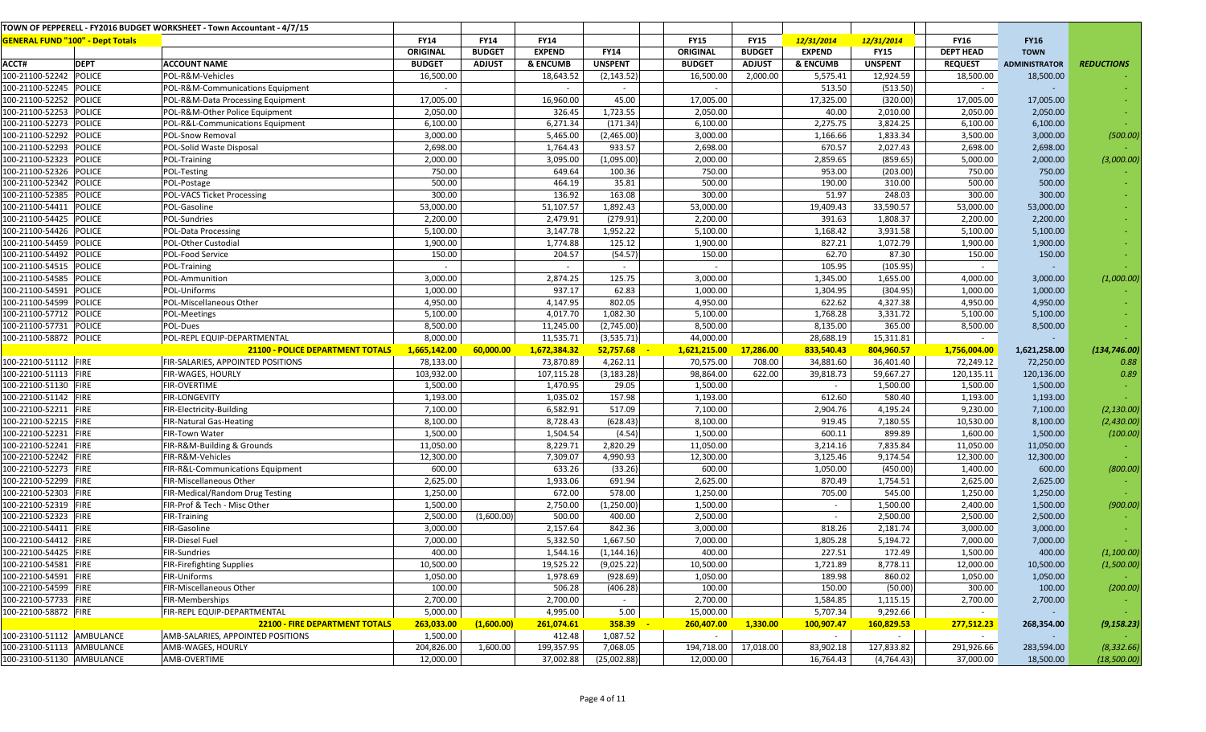|                                         |               | TOWN OF PEPPERELL - FY2016 BUDGET WORKSHEET - Town Accountant - 4/7/15 |               |               |                     |                |                 |               |                          |                |                  |                      |                   |
|-----------------------------------------|---------------|------------------------------------------------------------------------|---------------|---------------|---------------------|----------------|-----------------|---------------|--------------------------|----------------|------------------|----------------------|-------------------|
| <b>GENERAL FUND "100" - Dept Totals</b> |               |                                                                        | <b>FY14</b>   | <b>FY14</b>   | <b>FY14</b>         |                | <b>FY15</b>     | <b>FY15</b>   | 12/31/2014               | 12/31/2014     | <b>FY16</b>      | <b>FY16</b>          |                   |
|                                         |               |                                                                        | ORIGINAL      | <b>BUDGET</b> | <b>EXPEND</b>       | <b>FY14</b>    | <b>ORIGINAL</b> | <b>BUDGET</b> | <b>EXPEND</b>            | <b>FY15</b>    | <b>DEPT HEAD</b> | <b>TOWN</b>          |                   |
| ACCT#                                   | <b>DEPT</b>   | <b>ACCOUNT NAME</b>                                                    | <b>BUDGET</b> | <b>ADJUST</b> | <b>&amp; ENCUMB</b> | <b>UNSPENT</b> | <b>BUDGET</b>   | <b>ADJUST</b> | & ENCUMB                 | <b>UNSPENT</b> | <b>REQUEST</b>   | <b>ADMINISTRATOR</b> | <b>REDUCTIONS</b> |
| 100-21100-52242                         | <b>POLICE</b> | POL-R&M-Vehicles                                                       | 16,500.00     |               | 18,643.52           | (2, 143.52)    | 16,500.00       | 2,000.00      | 5,575.41                 | 12,924.59      | 18,500.00        | 18,500.00            |                   |
| 100-21100-52245 POLICE                  |               | POL-R&M-Communications Equipment                                       | $\sim$        |               | $\sim$              | $\sim$         | $\sim$          |               | 513.50                   | (513.50)       | $\sim$           |                      |                   |
| 100-21100-52252                         | <b>POLICE</b> | POL-R&M-Data Processing Equipment                                      | 17,005.00     |               | 16,960.00           | 45.00          | 17,005.00       |               | 17,325.00                | (320.00)       | 17,005.00        | 17,005.00            |                   |
| 100-21100-52253                         | <b>POLICE</b> | POL-R&M-Other Police Equipment                                         | 2,050.00      |               | 326.45              | 1,723.55       | 2,050.00        |               | 40.00                    | 2,010.00       | 2,050.00         | 2,050.00             |                   |
| 100-21100-52273                         | <b>POLICE</b> | POL-R&L-Communications Equipment                                       | 6,100.00      |               | 6,271.34            | (171.34)       | 6,100.00        |               | 2,275.75                 | 3,824.25       | 6,100.00         | 6,100.00             |                   |
| 100-21100-52292                         | <b>POLICE</b> | POL-Snow Removal                                                       | 3,000.00      |               | 5,465.00            | (2,465.00)     | 3,000.00        |               | 1,166.66                 | 1,833.34       | 3,500.00         | 3,000.00             | (500.00)          |
| 100-21100-52293                         | <b>POLICE</b> | POL-Solid Waste Disposal                                               | 2,698.00      |               | 1,764.43            | 933.57         | 2,698.00        |               | 670.57                   | 2,027.43       | 2,698.00         | 2,698.00             |                   |
| 100-21100-52323                         | POLICE        | POL-Training                                                           | 2,000.00      |               | 3,095.00            | (1,095.00)     | 2,000.00        |               | 2,859.65                 | (859.65)       | 5,000.00         | 2,000.00             | (3,000.00)        |
| 100-21100-52326                         | <b>POLICE</b> | POL-Testing                                                            | 750.00        |               | 649.64              | 100.36         | 750.00          |               | 953.00                   | (203.00)       | 750.00           | 750.00               |                   |
| 100-21100-52342                         | <b>POLICE</b> | POL-Postage                                                            | 500.00        |               | 464.19              | 35.81          | 500.00          |               | 190.00                   | 310.00         | 500.00           | 500.00               |                   |
| 100-21100-52385                         | <b>POLICE</b> | <b>POL-VACS Ticket Processing</b>                                      | 300.00        |               | 136.92              | 163.08         | 300.00          |               | 51.97                    | 248.03         | 300.00           | 300.00               |                   |
| 100-21100-54411                         | <b>POLICE</b> | POL-Gasoline                                                           | 53,000.00     |               | 51,107.57           | 1,892.43       | 53,000.00       |               | 19,409.43                | 33,590.57      | 53,000.00        | 53,000.00            |                   |
| 100-21100-54425                         | <b>POLICE</b> | POL-Sundries                                                           | 2,200.00      |               | 2,479.91            | (279.91)       | 2,200.00        |               | 391.63                   | 1,808.37       | 2,200.00         | 2,200.00             |                   |
| 100-21100-54426                         | <b>POLICE</b> | POL-Data Processing                                                    | 5,100.00      |               | 3,147.78            | 1,952.22       | 5,100.00        |               | 1,168.42                 | 3,931.58       | 5,100.00         | 5,100.00             |                   |
| 100-21100-54459                         | <b>POLICE</b> | POL-Other Custodial                                                    | 1,900.00      |               | 1,774.88            | 125.12         | 1,900.00        |               | 827.21                   | 1,072.79       | 1,900.00         | 1,900.00             |                   |
| 100-21100-54492                         | <b>POLICE</b> | POL-Food Service                                                       | 150.00        |               | 204.57              | (54.57)        | 150.00          |               | 62.70                    | 87.30          | 150.00           | 150.00               |                   |
| 100-21100-54515                         | <b>POLICE</b> | POL-Training                                                           |               |               | $\sim$              | $\sim$         |                 |               | 105.95                   | (105.95)       | $\sim$           |                      |                   |
| 100-21100-54585                         | <b>POLICE</b> | POL-Ammunition                                                         | 3,000.00      |               | 2,874.25            | 125.75         | 3,000.00        |               | 1,345.00                 | 1,655.00       | 4,000.00         | 3,000.00             | (1,000.00)        |
| 100-21100-54591                         | <b>POLICE</b> | POL-Uniforms                                                           | 1,000.00      |               | 937.17              | 62.83          | 1,000.00        |               | 1,304.95                 | (304.95)       | 1,000.00         | 1,000.00             |                   |
| 100-21100-54599                         | <b>POLICE</b> | POL-Miscellaneous Other                                                | 4,950.00      |               | 4,147.95            | 802.05         | 4,950.00        |               | 622.62                   | 4,327.38       | 4,950.00         | 4,950.00             |                   |
| 100-21100-57712                         | <b>POLICE</b> | POL-Meetings                                                           | 5,100.00      |               | 4,017.70            | 1,082.30       | 5,100.00        |               | 1,768.28                 | 3,331.72       | 5,100.00         | 5,100.00             |                   |
| 100-21100-57731                         | POLICE        | POL-Dues                                                               | 8,500.00      |               | 11,245.00           | (2,745.00)     | 8,500.00        |               | 8,135.00                 | 365.00         | 8,500.00         | 8,500.00             |                   |
| 100-21100-58872 POLICE                  |               | POL-REPL EQUIP-DEPARTMENTAL                                            | 8,000.00      |               | 11,535.71           | (3,535.71)     | 44,000.00       |               | 28,688.19                | 15,311.81      | $\sim$           |                      |                   |
|                                         |               | 21100 - POLICE DEPARTMENT TOTALS                                       | 1,665,142.00  | 60,000.00     | 1,672,384.32        | 52,757.68      | 1,621,215.00    | 17,286.00     | 833,540.43               | 804,960.57     | 1,756,004.00     | 1,621,258.00         | (134, 746.00)     |
| 100-22100-51112 FIRE                    |               | FIR-SALARIES, APPOINTED POSITIONS                                      | 78,133.00     |               | 73,870.89           | 4,262.11       | 70,575.00       | 708.00        | 34,881.60                | 36,401.40      | 72,249.12        | 72,250.00            | 0.88              |
| 100-22100-51113 FIRE                    |               | FIR-WAGES, HOURLY                                                      | 103,932.00    |               | 107,115.28          | (3, 183.28)    | 98,864.00       | 622.00        | 39,818.73                | 59,667.27      | 120,135.11       | 120,136.00           | 0.89              |
| 100-22100-51130 FIRE                    |               | FIR-OVERTIME                                                           | 1,500.00      |               | 1,470.95            | 29.05          | 1,500.00        |               | $\overline{\phantom{a}}$ | 1,500.00       | 1,500.00         | 1,500.00             |                   |
| 100-22100-51142 FIRE                    |               | <b>FIR-LONGEVITY</b>                                                   | 1,193.00      |               | 1,035.02            | 157.98         | 1,193.00        |               | 612.60                   | 580.40         | 1,193.00         | 1,193.00             |                   |
| 100-22100-52211                         | FIRE          | FIR-Electricity-Building                                               | 7,100.00      |               | 6,582.91            | 517.09         | 7,100.00        |               | 2,904.76                 | 4,195.24       | 9,230.00         | 7,100.00             | (2, 130.00)       |
| 100-22100-52215                         | FIRE          | <b>FIR-Natural Gas-Heating</b>                                         | 8,100.00      |               | 8,728.43            | (628.43)       | 8,100.00        |               | 919.45                   | 7,180.55       | 10,530.00        | 8,100.00             | (2,430.00)        |
| 100-22100-52231                         | FIRE          | FIR-Town Water                                                         | 1,500.00      |               | 1,504.54            | (4.54)         | 1,500.00        |               | 600.11                   | 899.89         | 1,600.00         | 1,500.00             | (100.00)          |
| 100-22100-52241                         | FIRE          | FIR-R&M-Building & Grounds                                             | 11,050.00     |               | 8,229.71            | 2,820.29       | 11,050.00       |               | 3,214.16                 | 7,835.84       | 11,050.00        | 11,050.00            |                   |
| 100-22100-52242                         | <b>FIRE</b>   | FIR-R&M-Vehicles                                                       | 12,300.00     |               | 7,309.07            | 4,990.93       | 12,300.00       |               | 3,125.46                 | 9,174.54       | 12,300.00        | 12,300.00            |                   |
| 100-22100-52273 FIRE                    |               | FIR-R&L-Communications Equipment                                       | 600.00        |               | 633.26              | (33.26)        | 600.00          |               | 1,050.00                 | (450.00)       | 1,400.00         | 600.00               | (800.00)          |
| 100-22100-52299                         | FIRE          | FIR-Miscellaneous Other                                                | 2,625.00      |               | 1,933.06            | 691.94         | 2,625.00        |               | 870.49                   | 1,754.51       | 2,625.00         | 2,625.00             |                   |
| 100-22100-52303                         | <b>FIRE</b>   | FIR-Medical/Random Drug Testing                                        | 1,250.00      |               | 672.00              | 578.00         | 1,250.00        |               | 705.00                   | 545.00         | 1,250.00         | 1,250.00             |                   |
| 100-22100-52319                         | FIRE          | FIR-Prof & Tech - Misc Other                                           | 1,500.00      |               | 2,750.00            | (1,250.00)     | 1,500.00        |               | $\sim$                   | 1,500.00       | 2,400.00         | 1,500.00             | (900.00)          |
| 100-22100-52323                         | FIRE          | FIR-Training                                                           | 2,500.00      | (1,600.00)    | 500.00              | 400.00         | 2,500.00        |               | $\sim$                   | 2,500.00       | 2,500.00         | 2,500.00             |                   |
| 100-22100-54411                         | <b>FIRE</b>   | FIR-Gasoline                                                           | 3,000.00      |               | 2,157.64            | 842.36         | 3,000.00        |               | 818.26                   | 2,181.74       | 3,000.00         | 3,000.00             |                   |
| 100-22100-54412 FIRE                    |               | FIR-Diesel Fuel                                                        | 7,000.00      |               | 5,332.50            | 1,667.50       | 7,000.00        |               | 1,805.28                 | 5,194.72       | 7,000.00         | 7,000.00             |                   |
| 100-22100-54425 FIRE                    |               | <b>FIR-Sundries</b>                                                    | 400.00        |               | 1,544.16            | (1, 144.16)    | 400.00          |               | 227.51                   | 172.49         | 1,500.00         | 400.00               | (1,100.00)        |
| 100-22100-54581 FIRE                    |               | FIR-Firefighting Supplies                                              | 10,500.00     |               | 19,525.22           | (9,025.22)     | 10,500.00       |               | 1,721.89                 | 8,778.11       | 12,000.00        | 10,500.00            | (1,500.00)        |
| 100-22100-54591 FIRE                    |               | FIR-Uniforms                                                           | 1,050.00      |               | 1,978.69            | (928.69)       | 1,050.00        |               | 189.98                   | 860.02         | 1,050.00         | 1,050.00             |                   |
| 100-22100-54599 FIRE                    |               | FIR-Miscellaneous Other                                                | 100.00        |               | 506.28              | (406.28)       | 100.00          |               | 150.00                   | (50.00)        | 300.00           | 100.00               | (200.00)          |
| 100-22100-57733 FIRE                    |               | FIR-Memberships                                                        | 2,700.00      |               | 2,700.00            | $\sim$         | 2,700.00        |               | 1,584.85                 | 1,115.15       | 2,700.00         | 2,700.00             |                   |
| 100-22100-58872 FIRE                    |               | FIR-REPL EQUIP-DEPARTMENTAL                                            | 5,000.00      |               | 4,995.00            | 5.00           | 15,000.00       |               | 5,707.34                 | 9,292.66       | $\sim$           |                      |                   |
|                                         |               | <b>22100 - FIRE DEPARTMENT TOTALS</b>                                  | 263,033.00    | (1,600.00)    | 261,074.61          | 358.39         | 260,407.00      | 1,330.00      | 100,907.47               | 160,829.53     | 277,512.23       | 268,354.00           | (9, 158.23)       |
| 100-23100-51112 AMBULANCE               |               | AMB-SALARIES, APPOINTED POSITIONS                                      | 1,500.00      |               | 412.48              | 1,087.52       | $\sim$          |               | $\sim$                   | $\sim$         | $\sim$           |                      |                   |
| 100-23100-51113 AMBULANCE               |               | AMB-WAGES, HOURLY                                                      | 204,826.00    | 1,600.00      | 199,357.95          | 7,068.05       | 194,718.00      | 17,018.00     | 83,902.18                | 127,833.82     | 291,926.66       | 283,594.00           | (8, 332.66)       |
| 100-23100-51130 AMBULANCE               |               | AMB-OVERTIME                                                           | 12,000.00     |               | 37,002.88           | (25,002.88)    | 12,000.00       |               | 16,764.43                | (4,764.43)     | 37,000.00        | 18,500.00            | (18,500.00)       |
|                                         |               |                                                                        |               |               |                     |                |                 |               |                          |                |                  |                      |                   |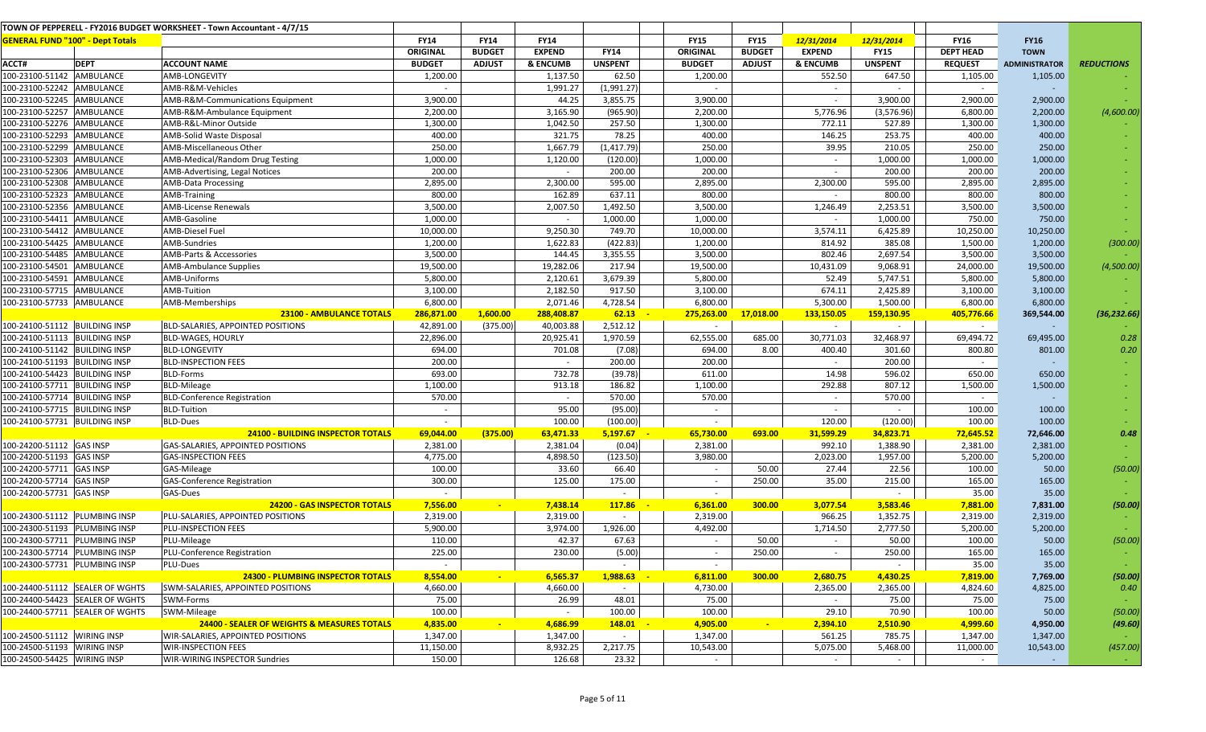|                                         |                                 | TOWN OF PEPPERELL - FY2016 BUDGET WORKSHEET - Town Accountant - 4/7/15 |               |                |               |                |                 |               |               |                |                  |                      |                   |
|-----------------------------------------|---------------------------------|------------------------------------------------------------------------|---------------|----------------|---------------|----------------|-----------------|---------------|---------------|----------------|------------------|----------------------|-------------------|
| <b>GENERAL FUND "100" - Dept Totals</b> |                                 |                                                                        | <b>FY14</b>   | <b>FY14</b>    | <b>FY14</b>   |                | <b>FY15</b>     | <b>FY15</b>   | 12/31/2014    | 12/31/2014     | <b>FY16</b>      | <b>FY16</b>          |                   |
|                                         |                                 |                                                                        | ORIGINAL      | <b>BUDGET</b>  | <b>EXPEND</b> | <b>FY14</b>    | <b>ORIGINAL</b> | <b>BUDGET</b> | <b>EXPEND</b> | <b>FY15</b>    | <b>DEPT HEAD</b> | <b>TOWN</b>          |                   |
| ACCT#                                   | <b>DEPT</b>                     | <b>ACCOUNT NAME</b>                                                    | <b>BUDGET</b> | <b>ADJUST</b>  | & ENCUMB      | <b>UNSPENT</b> | <b>BUDGET</b>   | <b>ADJUST</b> | & ENCUMB      | <b>UNSPENT</b> | <b>REQUEST</b>   | <b>ADMINISTRATOR</b> | <b>REDUCTIONS</b> |
| 100-23100-51142 AMBULANCE               |                                 | AMB-LONGEVITY                                                          | 1,200.00      |                | 1,137.50      | 62.50          | 1,200.00        |               | 552.50        | 647.50         | 1,105.00         | 1,105.00             |                   |
| 100-23100-52242 AMBULANCE               |                                 | AMB-R&M-Vehicles                                                       | $\sim$        |                | 1,991.27      | (1,991.27)     |                 |               | $\sim$        | $\sim$         | $\sim$           |                      |                   |
| 100-23100-52245 AMBULANCE               |                                 | AMB-R&M-Communications Equipment                                       | 3,900.00      |                | 44.25         | 3,855.75       | 3,900.00        |               | $\sim$        | 3,900.00       | 2,900.00         | 2,900.00             |                   |
| 100-23100-52257 AMBULANCE               |                                 | AMB-R&M-Ambulance Equipment                                            | 2,200.00      |                | 3,165.90      | (965.90)       | 2,200.00        |               | 5,776.96      | (3,576.96)     | 6,800.00         | 2,200.00             | (4,600.00)        |
| 100-23100-52276 AMBULANCE               |                                 | AMB-R&L-Minor Outside                                                  | 1,300.00      |                | 1,042.50      | 257.50         | 1,300.00        |               | 772.11        | 527.89         | 1,300.00         | 1,300.00             |                   |
| 100-23100-52293 AMBULANCE               |                                 | AMB-Solid Waste Disposal                                               | 400.00        |                | 321.75        | 78.25          | 400.00          |               | 146.25        | 253.75         | 400.00           | 400.00               |                   |
| 100-23100-52299 AMBULANCE               |                                 | AMB-Miscellaneous Other                                                | 250.00        |                | 1,667.79      | (1, 417.79)    | 250.00          |               | 39.95         | 210.05         | 250.00           | 250.00               |                   |
| 100-23100-52303 AMBULANCE               |                                 | AMB-Medical/Random Drug Testing                                        | 1,000.00      |                | 1,120.00      | (120.00)       | 1,000.00        |               | $\sim$        | 1,000.00       | 1,000.00         | 1,000.00             |                   |
| 100-23100-52306 AMBULANCE               |                                 | AMB-Advertising, Legal Notices                                         | 200.00        |                | $\sim$        | 200.00         | 200.00          |               | $\sim$        | 200.00         | 200.00           | 200.00               |                   |
| 100-23100-52308 AMBULANCE               |                                 | <b>AMB-Data Processing</b>                                             | 2,895.00      |                | 2,300.00      | 595.00         | 2,895.00        |               | 2,300.00      | 595.00         | 2,895.00         | 2,895.00             |                   |
| 100-23100-52323 AMBULANCE               |                                 | AMB-Training                                                           | 800.00        |                | 162.89        | 637.11         | 800.00          |               |               | 800.00         | 800.00           | 800.00               |                   |
| 100-23100-52356 AMBULANCE               |                                 | <b>AMB-License Renewals</b>                                            | 3,500.00      |                | 2,007.50      | 1,492.50       | 3,500.00        |               | 1,246.49      | 2,253.51       | 3,500.00         | 3,500.00             |                   |
| 100-23100-54411 AMBULANCE               |                                 | AMB-Gasoline                                                           | 1,000.00      |                | $\sim$        | 1,000.00       | 1,000.00        |               |               | 1,000.00       | 750.00           | 750.00               |                   |
| 100-23100-54412 AMBULANCE               |                                 | <b>AMB-Diesel Fuel</b>                                                 | 10,000.00     |                | 9,250.30      | 749.70         | 10,000.00       |               | 3,574.11      | 6,425.89       | 10,250.00        | 10,250.00            |                   |
| 100-23100-54425 AMBULANCE               |                                 | <b>AMB-Sundries</b>                                                    | 1,200.00      |                | 1,622.83      | (422.83)       | 1,200.00        |               | 814.92        | 385.08         | 1,500.00         | 1,200.00             | (300.00)          |
| 100-23100-54485 AMBULANCE               |                                 | AMB-Parts & Accessories                                                | 3,500.00      |                | 144.45        | 3,355.55       | 3,500.00        |               | 802.46        | 2,697.54       | 3,500.00         | 3,500.00             |                   |
| 100-23100-54501 AMBULANCE               |                                 | <b>AMB-Ambulance Supplies</b>                                          | 19,500.00     |                | 19,282.06     | 217.94         | 19,500.00       |               | 10,431.09     | 9,068.91       | 24,000.00        | 19,500.00            | (4,500.00)        |
| 100-23100-54591 AMBULANCE               |                                 | AMB-Uniforms                                                           | 5,800.00      |                | 2,120.61      | 3,679.39       | 5,800.00        |               | 52.49         | 5,747.51       | 5,800.00         | 5,800.00             |                   |
| 100-23100-57715 AMBULANCE               |                                 | AMB-Tuition                                                            | 3,100.00      |                | 2,182.50      | 917.50         | 3,100.00        |               | 674.11        | 2,425.89       | 3,100.00         | 3,100.00             |                   |
| 100-23100-57733 AMBULANCE               |                                 | AMB-Memberships                                                        | 6,800.00      |                | 2,071.46      | 4,728.54       | 6,800.00        |               | 5,300.00      | 1,500.00       | 6,800.00         | 6,800.00             |                   |
|                                         |                                 | <b>23100 - AMBULANCE TOTALS</b>                                        | 286,871.00    | 1,600.00       | 288,408.87    | 62.13          | 275,263.00      | 17,018.00     | 133,150.05    | 159,130.95     | 405,776.66       | 369,544.00           | (36, 232.66)      |
| 100-24100-51112 BUILDING INSP           |                                 | BLD-SALARIES, APPOINTED POSITIONS                                      | 42,891.00     | (375.00)       | 40,003.88     | 2,512.12       | $\sim$          |               | $\sim$        | $\sim$         | $\sim$           |                      |                   |
| 100-24100-51113 BUILDING INSP           |                                 | <b>BLD-WAGES, HOURLY</b>                                               | 22,896.00     |                | 20,925.41     | 1,970.59       | 62,555.00       | 685.00        | 30,771.03     | 32,468.97      | 69,494.72        | 69,495.00            | 0.28              |
| 100-24100-51142 BUILDING INSP           |                                 | <b>BLD-LONGEVITY</b>                                                   | 694.00        |                | 701.08        | (7.08)         | 694.00          | 8.00          | 400.40        | 301.60         | 800.80           | 801.00               | 0.20              |
| 100-24100-51193 BUILDING INSP           |                                 | <b>BLD-INSPECTION FEES</b>                                             | 200.00        |                | $\sim$        | 200.00         | 200.00          |               |               | 200.00         | $\sim$           |                      |                   |
| 100-24100-54423 BUILDING INSP           |                                 | <b>BLD-Forms</b>                                                       | 693.00        |                | 732.78        | (39.78)        | 611.00          |               | 14.98         | 596.02         | 650.00           | 650.00               |                   |
| 100-24100-57711 BUILDING INSP           |                                 | <b>BLD-Mileage</b>                                                     | 1,100.00      |                | 913.18        | 186.82         | 1,100.00        |               | 292.88        | 807.12         | 1,500.00         | 1,500.00             |                   |
| 100-24100-57714 BUILDING INSP           |                                 | <b>BLD-Conference Registration</b>                                     | 570.00        |                | $\sim$        | 570.00         | 570.00          |               | $\sim$        | 570.00         | $\sim$           |                      |                   |
| 100-24100-57715 BUILDING INSP           |                                 | <b>BLD-Tuition</b>                                                     | $\sim$        |                | 95.00         | (95.00)        | $\sim$          |               | $\sim$        | $\sim$         | 100.00           | 100.00               |                   |
| 100-24100-57731 BUILDING INSP           |                                 | <b>BLD-Dues</b>                                                        | $\sim$        |                | 100.00        | (100.00)       |                 |               | 120.00        | (120.00)       | 100.00           | 100.00               |                   |
|                                         |                                 | <b>24100 - BUILDING INSPECTOR TOTALS</b>                               | 69,044.00     | (375.00)       | 63,471.33     | 5,197.67       | 65,730.00       | 693.00        | 31,599.29     | 34,823.71      | 72,645.52        | 72,646.00            | 0.48              |
| 100-24200-51112 GAS INSP                |                                 | GAS-SALARIES, APPOINTED POSITIONS                                      | 2,381.00      |                | 2,381.04      | (0.04)         | 2,381.00        |               | 992.10        | 1,388.90       | 2,381.00         | 2,381.00             |                   |
| 100-24200-51193 GAS INSP                |                                 | <b>GAS-INSPECTION FEES</b>                                             | 4,775.00      |                | 4,898.50      | (123.50)       | 3,980.00        |               | 2,023.00      | 1,957.00       | 5,200.00         | 5,200.00             |                   |
| 100-24200-57711 GAS INSP                |                                 | GAS-Mileage                                                            | 100.00        |                | 33.60         | 66.40          | $\sim$          | 50.00         | 27.44         | 22.56          | 100.00           | 50.00                | (50.00)           |
| 100-24200-57714 GAS INSP                |                                 | <b>GAS-Conference Registration</b>                                     | 300.00        |                | 125.00        | 175.00         | $\sim$          | 250.00        | 35.00         | 215.00         | 165.00           | 165.00               |                   |
| 100-24200-57731 GAS INSP                |                                 | GAS-Dues                                                               | $\sim$        |                |               | $\sim$         | $\sim$          |               |               | $\sim$         | 35.00            | 35.00                |                   |
|                                         |                                 | <b>24200 - GAS INSPECTOR TOTALS</b>                                    | 7,556.00      | $\sim$         | 7,438.14      | 117.86         | 6,361.00        | 300.00        | 3,077.54      | 3,583.46       | 7,881.00         | 7,831.00             | (50.00)           |
| 100-24300-51112   PLUMBING INSP         |                                 | PLU-SALARIES, APPOINTED POSITIONS                                      | 2,319.00      |                | 2,319.00      | $\sim$         | 2,319.00        |               | 966.25        | 1,352.75       | 2,319.00         | 2,319.00             |                   |
| 100-24300-51193 PLUMBING INSP           |                                 | PLU-INSPECTION FEES                                                    | 5,900.00      |                | 3,974.00      | 1,926.00       | 4,492.00        |               | 1,714.50      | 2,777.50       | 5,200.00         | 5,200.00             |                   |
| 100-24300-57711 PLUMBING INSP           |                                 | PLU-Mileage                                                            | 110.00        |                | 42.37         | 67.63          | $\sim$          | 50.00         | $\sim$        | 50.00          | 100.00           | 50.00                | (50.00)           |
| 100-24300-57714   PLUMBING INSP         |                                 | PLU-Conference Registration                                            | 225.00        |                | 230.00        | (5.00)         | $\sim$          | 250.00        |               | 250.00         | 165.00           | 165.00               |                   |
| 100-24300-57731   PLUMBING INSP         |                                 | PLU-Dues                                                               | $\sim$        |                |               | $\sim$         | $\sim$          |               |               | $\sim$         | 35.00            | 35.00                |                   |
|                                         |                                 | <b>24300 - PLUMBING INSPECTOR TOTALS</b>                               | 8,554.00      | $\blacksquare$ | 6,565.37      | 1,988.63       | 6,811.00        | 300.00        | 2,680.75      | 4,430.25       | 7,819.00         | 7,769.00             | (50.00)           |
|                                         | 100-24400-51112 SEALER OF WGHTS | SWM-SALARIES, APPOINTED POSITIONS                                      | 4,660.00      |                | 4,660.00      | $\sim$         | 4,730.00        |               | 2,365.00      | 2,365.00       | 4,824.60         | 4,825.00             | 0.40              |
|                                         | 100-24400-54423 SEALER OF WGHTS | SWM-Forms                                                              | 75.00         |                | 26.99         | 48.01          | 75.00           |               |               | 75.00          | 75.00            | 75.00                |                   |
|                                         | 100-24400-57711 SEALER OF WGHTS | SWM-Mileage                                                            | 100.00        |                | $\sim$        | 100.00         | 100.00          |               | 29.10         | 70.90          | 100.00           | 50.00                | (50.00)           |
|                                         |                                 | <b>24400 - SEALER OF WEIGHTS &amp; MEASURES TOTALS</b>                 | 4,835.00      |                | 4,686.99      | 148.01         | 4,905.00        |               | 2,394.10      | 2,510.90       | 4,999.60         | 4,950.00             | (49.60)           |
| 100-24500-51112 WIRING INSP             |                                 | WIR-SALARIES, APPOINTED POSITIONS                                      | 1,347.00      |                | 1,347.00      | $\sim$         | 1,347.00        |               | 561.25        | 785.75         | 1,347.00         | 1,347.00             |                   |
| 100-24500-51193 WIRING INSP             |                                 | <b>WIR-INSPECTION FEES</b>                                             | 11,150.00     |                | 8,932.25      | 2,217.75       | 10,543.00       |               | 5,075.00      | 5,468.00       | 11,000.00        | 10,543.00            | (457.00)          |
| 100-24500-54425 WIRING INSP             |                                 | WIR-WIRING INSPECTOR Sundries                                          | 150.00        |                | 126.68        | 23.32          | $\sim$          |               | $\sim$        | $\sim$         | $\sim$           |                      |                   |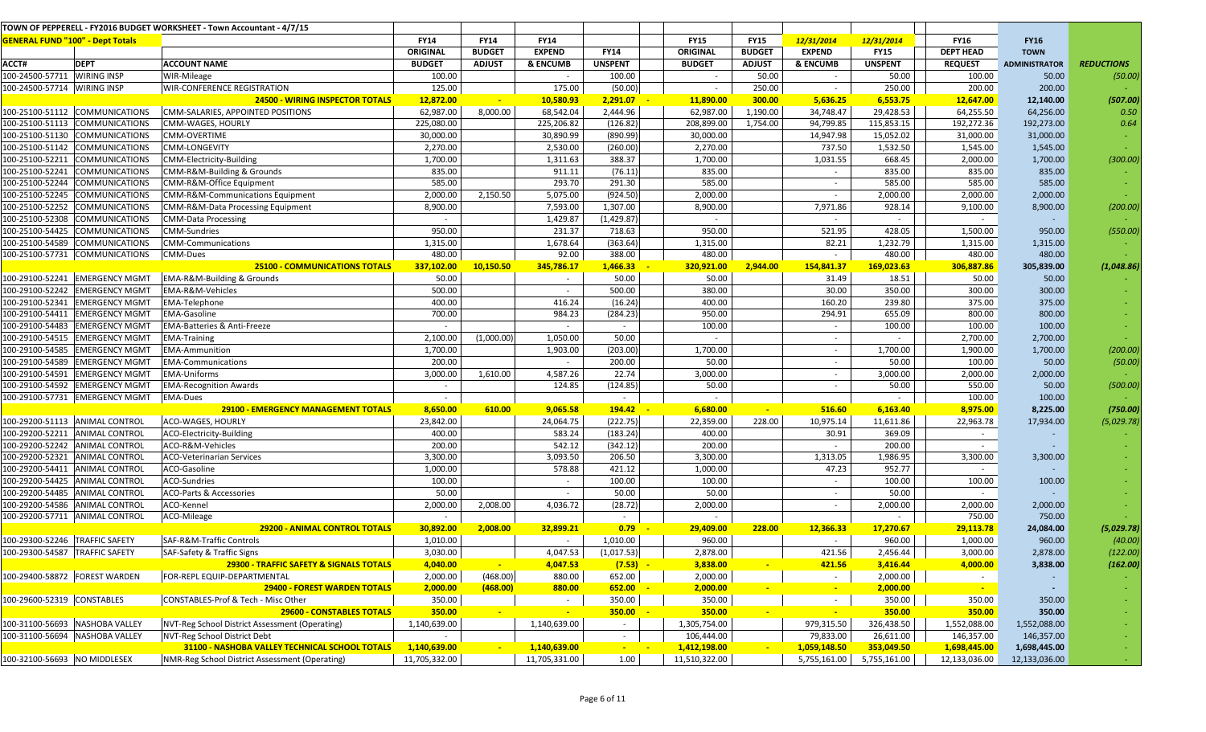|                                         |                                | TOWN OF PEPPERELL - FY2016 BUDGET WORKSHEET - Town Accountant - 4/7/15 |               |               |               |                                 |               |               |                          |                |                  |                      |                   |
|-----------------------------------------|--------------------------------|------------------------------------------------------------------------|---------------|---------------|---------------|---------------------------------|---------------|---------------|--------------------------|----------------|------------------|----------------------|-------------------|
| <b>GENERAL FUND "100" - Dept Totals</b> |                                |                                                                        | <b>FY14</b>   | <b>FY14</b>   | <b>FY14</b>   |                                 | <b>FY15</b>   | <b>FY15</b>   | 12/31/2014               | 12/31/2014     | <b>FY16</b>      | <b>FY16</b>          |                   |
|                                         |                                |                                                                        | ORIGINAL      | <b>BUDGET</b> | <b>EXPEND</b> | <b>FY14</b>                     | ORIGINAL      | <b>BUDGET</b> | <b>EXPEND</b>            | <b>FY15</b>    | <b>DEPT HEAD</b> | <b>TOWN</b>          |                   |
| ACCT#                                   | <b>DEPT</b>                    | <b>ACCOUNT NAME</b>                                                    | <b>BUDGET</b> | <b>ADJUST</b> | & ENCUMB      | <b>UNSPENT</b>                  | <b>BUDGET</b> | <b>ADJUST</b> | & ENCUMB                 | <b>UNSPENT</b> | <b>REQUEST</b>   | <b>ADMINISTRATOR</b> | <b>REDUCTIONS</b> |
| 100-24500-57711 WIRING INSP             |                                | WIR-Mileage                                                            | 100.00        |               |               | 100.00                          |               | 50.00         |                          | 50.00          | 100.00           | 50.00                | (50.00)           |
| 100-24500-57714 WIRING INSP             |                                | <b>WIR-CONFERENCE REGISTRATION</b>                                     | 125.00        |               | 175.00        | (50.00)                         | $\sim$        | 250.00        | $\sim$                   | 250.00         | 200.00           | 200.00               |                   |
|                                         |                                | <b>24500 - WIRING INSPECTOR TOTALS</b>                                 | 12,872.00     | $\sim$        | 10,580.93     | 2,291.07                        | 11,890.00     | 300.00        | 5,636.25                 | 6,553.75       | 12,647.00        | 12,140.00            | (507.00)          |
|                                         | 100-25100-51112 COMMUNICATIONS | CMM-SALARIES, APPOINTED POSITIONS                                      | 62,987.00     | 8,000.00      | 68,542.04     | 2,444.96                        | 62,987.00     | 1,190.00      | 34,748.47                | 29,428.53      | 64,255.50        | 64,256.00            | 0.50              |
|                                         | 100-25100-51113 COMMUNICATIONS | CMM-WAGES, HOURLY                                                      | 225,080.00    |               | 225,206.82    | (126.82)                        | 208,899.00    | 1,754.00      | 94,799.85                | 115,853.15     | 192,272.36       | 192,273.00           | 0.64              |
|                                         | 100-25100-51130 COMMUNICATIONS | <b>CMM-OVERTIME</b>                                                    | 30,000.00     |               | 30,890.99     | (890.99)                        | 30,000.00     |               | 14,947.98                | 15,052.02      | 31,000.00        | 31,000.00            |                   |
|                                         | 100-25100-51142 COMMUNICATIONS | <b>CMM-LONGEVITY</b>                                                   | 2,270.00      |               | 2,530.00      | (260.00)                        | 2,270.00      |               | 737.50                   | 1,532.50       | 1,545.00         | 1,545.00             |                   |
|                                         | 100-25100-52211 COMMUNICATIONS | CMM-Electricity-Building                                               | 1,700.00      |               | 1,311.63      | 388.37                          | 1,700.00      |               | 1,031.55                 | 668.45         | 2,000.00         | 1,700.00             | (300.00)          |
|                                         | 100-25100-52241 COMMUNICATIONS | CMM-R&M-Building & Grounds                                             | 835.00        |               | 911.11        | (76.11)                         | 835.00        |               | $\sim$                   | 835.00         | 835.00           | 835.00               |                   |
|                                         | 100-25100-52244 COMMUNICATIONS | CMM-R&M-Office Equipment                                               | 585.00        |               | 293.70        | 291.30                          | 585.00        |               | $\sim$                   | 585.00         | 585.00           | 585.00               |                   |
|                                         | 100-25100-52245 COMMUNICATIONS | CMM-R&M-Communications Equipment                                       | 2,000.00      | 2,150.50      | 5,075.00      | (924.50)                        | 2,000.00      |               | $\sim$                   | 2,000.00       | 2,000.00         | 2,000.00             |                   |
|                                         | 100-25100-52252 COMMUNICATIONS | CMM-R&M-Data Processing Equipment                                      | 8,900.00      |               | 7,593.00      | 1,307.00                        | 8,900.00      |               | 7,971.86                 | 928.14         | 9,100.00         | 8,900.00             | (200.00)          |
|                                         | 100-25100-52308 COMMUNICATIONS | <b>CMM-Data Processing</b>                                             | $\sim$        |               | 1,429.87      | (1,429.87)                      |               |               |                          | $\sim$         | $\sim$           |                      |                   |
|                                         | 100-25100-54425 COMMUNICATIONS | <b>CMM-Sundries</b>                                                    | 950.00        |               | 231.37        | 718.63                          | 950.00        |               | 521.95                   | 428.05         | 1,500.00         | 950.00               | (550.00)          |
|                                         | 100-25100-54589 COMMUNICATIONS | <b>CMM-Communications</b>                                              | 1,315.00      |               | 1,678.64      | (363.64)                        | 1,315.00      |               | 82.21                    | 1,232.79       | 1,315.00         | 1,315.00             |                   |
|                                         | 100-25100-57731 COMMUNICATIONS | CMM-Dues                                                               | 480.00        |               | 92.00         | 388.00                          | 480.00        |               | $\sim$                   | 480.00         | 480.00           | 480.00               |                   |
|                                         |                                | <b>25100 - COMMUNICATIONS TOTALS</b>                                   | 337,102.00    | 10,150.50     | 345,786.17    | 1,466.33                        | 320,921.00    | 2,944.00      | 154,841.37               | 169,023.63     | 306,887.86       | 305,839.00           | (1,048.86)        |
|                                         | 100-29100-52241 EMERGENCY MGMT | EMA-R&M-Building & Grounds                                             | 50.00         |               | $\sim$        | 50.00                           | 50.00         |               | 31.49                    | 18.51          | 50.00            | 50.00                |                   |
|                                         | 100-29100-52242 EMERGENCY MGMT | EMA-R&M-Vehicles                                                       | 500.00        |               | $\sim$        | 500.00                          | 380.00        |               | 30.00                    | 350.00         | 300.00           | 300.00               |                   |
|                                         | 100-29100-52341 EMERGENCY MGMT | <b>EMA-Telephone</b>                                                   | 400.00        |               | 416.24        | (16.24)                         | 400.00        |               | 160.20                   | 239.80         | 375.00           | 375.00               |                   |
|                                         | 100-29100-54411 EMERGENCY MGMT | <b>EMA-Gasoline</b>                                                    | 700.00        |               | 984.23        | (284.23)                        | 950.00        |               | 294.91                   | 655.09         | 800.00           | 800.00               |                   |
|                                         | 100-29100-54483 EMERGENCY MGMT | <b>EMA-Batteries &amp; Anti-Freeze</b>                                 | $\sim$        |               | $\sim$        | $\sim$                          | 100.00        |               | $\sim$                   | 100.00         | 100.00           | 100.00               |                   |
|                                         | 100-29100-54515 EMERGENCY MGMT | <b>EMA-Training</b>                                                    | 2,100.00      | (1,000.00)    | 1,050.00      | 50.00                           |               |               | $\sim$                   |                | 2,700.00         | 2,700.00             |                   |
|                                         | 100-29100-54585 EMERGENCY MGMT | <b>EMA-Ammunition</b>                                                  | 1,700.00      |               | 1,903.00      | (203.00)                        | 1,700.00      |               | $\sim$                   | 1,700.00       | 1,900.00         | 1,700.00             | (200.00)          |
|                                         | 100-29100-54589 EMERGENCY MGMT | <b>EMA-Communications</b>                                              | 200.00        |               | $\sim$        | 200.00                          | 50.00         |               | $\sim$                   | 50.00          | 100.00           | 50.00                | (50.00)           |
|                                         | 100-29100-54591 EMERGENCY MGMT | <b>EMA-Uniforms</b>                                                    | 3,000.00      | 1,610.00      | 4,587.26      | 22.74                           | 3,000.00      |               | $\sim$                   | 3,000.00       | 2,000.00         | 2,000.00             |                   |
|                                         | 100-29100-54592 EMERGENCY MGMT | <b>EMA-Recognition Awards</b>                                          | $\sim$        |               | 124.85        | (124.85)                        | 50.00         |               |                          | 50.00          | 550.00           | 50.00                | (500.00)          |
|                                         | 100-29100-57731 EMERGENCY MGMT | <b>EMA-Dues</b>                                                        | $\sim$        |               |               | $\sim$                          |               |               |                          |                | 100.00           | 100.00               |                   |
|                                         |                                | <b>29100 - EMERGENCY MANAGEMENT TOTALS</b>                             | 8,650.00      | 610.00        | 9,065.58      | 194.42                          | 6,680.00      |               | 516.60                   | 6,163.40       | 8,975.00         | 8,225.00             | (750.00)          |
|                                         | 100-29200-51113 ANIMAL CONTROL | ACO-WAGES, HOURLY                                                      | 23,842.00     |               | 24,064.75     | (222.75)                        | 22,359.00     | 228.00        | 10,975.14                | 11,611.86      | 22,963.78        | 17,934.00            | (5,029.78)        |
|                                         | 100-29200-52211 ANIMAL CONTROL | ACO-Electricity-Building                                               | 400.00        |               | 583.24        | (183.24)                        | 400.00        |               | 30.91                    | 369.09         | $\sim$           |                      |                   |
|                                         | 100-29200-52242 ANIMAL CONTROL | ACO-R&M-Vehicles                                                       | 200.00        |               | 542.12        | (342.12)                        | 200.00        |               | $\sim$                   | 200.00         | $\sim$           |                      |                   |
|                                         | 100-29200-52321 ANIMAL CONTROL | <b>ACO-Veterinarian Services</b>                                       | 3,300.00      |               | 3,093.50      | 206.50                          | 3,300.00      |               | 1,313.05                 | 1,986.95       | 3,300.00         | 3,300.00             |                   |
|                                         | 100-29200-54411 ANIMAL CONTROL | ACO-Gasoline                                                           | 1,000.00      |               | 578.88        | 421.12                          | 1,000.00      |               | 47.23                    | 952.77         | $\sim$           |                      |                   |
|                                         | 100-29200-54425 ANIMAL CONTROL | <b>ACO-Sundries</b>                                                    | 100.00        |               | $\sim$        | 100.00                          | 100.00        |               | $\sim$                   | 100.00         | 100.00           | 100.00               |                   |
|                                         | 100-29200-54485 ANIMAL CONTROL | ACO-Parts & Accessories                                                | 50.00         |               | $\sim$        | 50.00                           | 50.00         |               |                          | 50.00          | $\sim$           |                      |                   |
|                                         | 100-29200-54586 ANIMAL CONTROL | ACO-Kennel                                                             | 2,000.00      | 2,008.00      | 4,036.72      | (28.72)                         | 2,000.00      |               | $\sim$                   | 2,000.00       | 2,000.00         | 2,000.00             |                   |
|                                         | 100-29200-57711 ANIMAL CONTROL | ACO-Mileage                                                            |               |               |               |                                 |               |               |                          |                | 750.00           | 750.00               |                   |
|                                         |                                | <b>29200 - ANIMAL CONTROL TOTALS</b>                                   | 30,892.00     | 2,008.00      | 32,899.21     | 0.79                            | 29,409.00     | 228.00        | 12,366.33                | 17,270.67      | 29,113.78        | 24,084.00            | (5,029.78)        |
| 100-29300-52246 TRAFFIC SAFETY          |                                | SAF-R&M-Traffic Controls                                               | 1,010.00      |               |               | 1,010.00                        | 960.00        |               | $\overline{\phantom{a}}$ | 960.00         | 1,000.00         | 960.00               | (40.00)           |
| 100-29300-54587 TRAFFIC SAFETY          |                                | SAF-Safety & Traffic Signs                                             | 3,030.00      |               | 4,047.53      | (1,017.53)                      | 2,878.00      |               | 421.56                   | 2,456.44       | 3,000.00         | 2,878.00             | (122.00)          |
|                                         |                                | 29300 - TRAFFIC SAFETY & SIGNALS TOTALS                                | 4,040.00      | $\sim$        | 4,047.53      | $(7.53) -$                      | 3,838.00      | $\sim$        | 421.56                   | 3,416.44       | 4,000.00         | 3,838.00             | (162.00)          |
| 100-29400-58872 FOREST WARDEN           |                                | FOR-REPL EQUIP-DEPARTMENTAL                                            | 2,000.00      | (468.00)      | 880.00        | 652.00                          | 2,000.00      |               |                          | 2,000.00       | $\sim$           |                      |                   |
|                                         |                                | 29400 - FOREST WARDEN TOTALS                                           | 2,000.00      | (468.00)      | 880.00        | 652.00                          | 2,000.00      |               | $\sim$                   | 2,000.00       |                  |                      |                   |
| 100-29600-52319 CONSTABLES              |                                | CONSTABLES-Prof & Tech - Misc Other                                    | 350.00        |               |               | 350.00                          | 350.00        |               | $\sim$                   | 350.00         | 350.00           | 350.00               |                   |
|                                         |                                | <b>29600 - CONSTABLES TOTALS</b>                                       | 350.00        | $\sim$        | $\sim$        | 350.00                          | 350.00        |               |                          | 350.00         | 350.00           | 350.00               |                   |
|                                         | 100-31100-56693 NASHOBA VALLEY | NVT-Reg School District Assessment (Operating)                         | 1,140,639.00  |               | 1,140,639.00  | $\sim$                          | 1,305,754.00  |               | 979,315.50               | 326,438.50     | 1,552,088.00     | 1,552,088.00         |                   |
|                                         | 100-31100-56694 NASHOBA VALLEY | NVT-Reg School District Debt                                           |               |               |               |                                 | 106,444.00    |               | 79,833.00                | 26,611.00      | 146,357.00       | 146,357.00           |                   |
|                                         |                                | 31100 - NASHOBA VALLEY TECHNICAL SCHOOL TOTALS                         | 1,140,639.00  |               | 1,140,639.00  | $\frac{1}{2}$ and $\frac{1}{2}$ | 1,412,198.00  |               | 1,059,148.50             | 353,049.50     | 1,698,445.00     | 1,698,445.00         |                   |
| 100-32100-56693 NO MIDDLESEX            |                                | NMR-Reg School District Assessment (Operating)                         | 11,705,332.00 |               | 11,705,331.00 | 1.00                            | 11,510,322.00 |               | 5,755,161.00             | 5,755,161.00   | 12,133,036.00    | 12,133,036.00        |                   |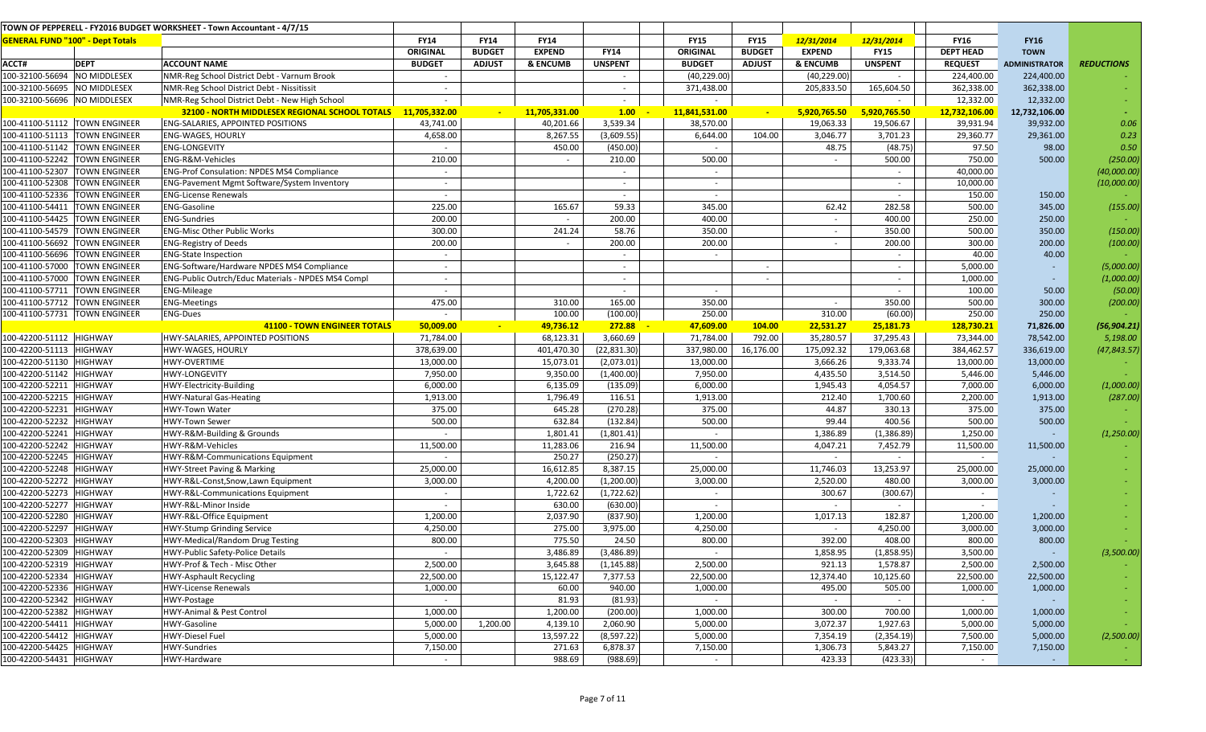|                              |                                         | TOWN OF PEPPERELL - FY2016 BUDGET WORKSHEET - Town Accountant - 4/7/15 |               |                                      |            |                          |                 |                          |               |                          |                  |                      |                   |
|------------------------------|-----------------------------------------|------------------------------------------------------------------------|---------------|--------------------------------------|------------|--------------------------|-----------------|--------------------------|---------------|--------------------------|------------------|----------------------|-------------------|
|                              | <b>GENERAL FUND "100" - Dept Totals</b> |                                                                        | <b>FY14</b>   | <b>FY14</b><br><b>FY14</b>           |            |                          | <b>FY15</b>     | <b>FY15</b>              | 12/31/2014    | 12/31/2014               | <b>FY16</b>      | <b>FY16</b>          |                   |
|                              |                                         |                                                                        | ORIGINAL      | <b>EXPEND</b><br><b>BUDGET</b>       |            | <b>FY14</b>              | <b>ORIGINAL</b> | <b>BUDGET</b>            | <b>EXPEND</b> | <b>FY15</b>              | <b>DEPT HEAD</b> | <b>TOWN</b>          |                   |
| ACCT#                        | <b>DEPT</b>                             | <b>ACCOUNT NAME</b>                                                    | <b>BUDGET</b> | <b>ADJUST</b><br><b>&amp; ENCUMB</b> |            | <b>UNSPENT</b>           | <b>BUDGET</b>   | <b>ADJUST</b>            | & ENCUMB      | <b>UNSPENT</b>           | <b>REQUEST</b>   | <b>ADMINISTRATOR</b> | <b>REDUCTIONS</b> |
| 100-32100-56694 NO MIDDLESEX |                                         | NMR-Reg School District Debt - Varnum Brook                            |               |                                      |            |                          | (40, 229.00)    |                          | (40, 229.00)  |                          | 224,400.00       | 224,400.00           |                   |
| 100-32100-56695 NO MIDDLESEX |                                         | NMR-Reg School District Debt - Nissitissit                             | $\sim$        |                                      |            | $\sim$                   | 371,438.00      |                          | 205,833.50    | 165,604.50               | 362,338.00       | 362,338.00           |                   |
| 100-32100-56696 NO MIDDLESEX |                                         | NMR-Reg School District Debt - New High School                         |               |                                      |            | $\sim$                   |                 |                          |               |                          | 12,332.00        | 12,332.00            |                   |
|                              |                                         | 32100 - NORTH MIDDLESEX REGIONAL SCHOOL TOTALS 11,705,332.00           |               | 11,705,331.00                        |            | 1.00                     | 11,841,531.00   | $\overline{\phantom{a}}$ | 5,920,765.50  | 5,920,765.50             | 12,732,106.00    | 12,732,106.00        |                   |
|                              | 100-41100-51112 TOWN ENGINEER           | <b>ENG-SALARIES, APPOINTED POSITIONS</b>                               | 43,741.00     |                                      | 40,201.66  | 3,539.34                 | 38,570.00       |                          | 19,063.33     | 19,506.67                | 39,931.94        | 39,932.00            | 0.06              |
|                              | 100-41100-51113 TOWN ENGINEER           | <b>ENG-WAGES, HOURLY</b>                                               | 4,658.00      |                                      | 8,267.55   | (3,609.55)               | 6,644.00        | 104.00                   | 3,046.77      | 3,701.23                 | 29,360.77        | 29,361.00            | 0.23              |
|                              | 100-41100-51142 TOWN ENGINEER           | <b>ENG-LONGEVITY</b>                                                   | $\sim$        |                                      | 450.00     | (450.00)                 | $\sim$          |                          | 48.75         | (48.75)                  | 97.50            | 98.00                | 0.50              |
|                              | 100-41100-52242 TOWN ENGINEER           | ENG-R&M-Vehicles                                                       | 210.00        |                                      | $\sim$     | 210.00                   | 500.00          |                          | $\sim$        | 500.00                   | 750.00           | 500.00               | (250.00)          |
|                              | 100-41100-52307 TOWN ENGINEER           | <b>ENG-Prof Consulation: NPDES MS4 Compliance</b>                      | $\sim$        |                                      |            | $\sim$                   | $\sim$          |                          |               | $\sim$                   | 40,000.00        |                      | (40,000.00)       |
| 100-41100-52308              | <b>TOWN ENGINEER</b>                    | <b>ENG-Pavement Mgmt Software/System Inventory</b>                     | $\sim$        |                                      |            | $\overline{\phantom{a}}$ | $\sim$          |                          |               | $\sim$                   | 10,000.00        |                      | (10,000.00)       |
|                              | 100-41100-52336 TOWN ENGINEER           | <b>ENG-License Renewals</b>                                            | $\sim$        |                                      |            | $\sim$                   | $\sim$          |                          |               |                          | 150.00           | 150.00               |                   |
|                              | 100-41100-54411 TOWN ENGINEER           | <b>ENG-Gasoline</b>                                                    | 225.00        |                                      | 165.67     | 59.33                    | 345.00          |                          | 62.42         | 282.58                   | 500.00           | 345.00               | (155.00)          |
|                              | 100-41100-54425 TOWN ENGINEER           | <b>ENG-Sundries</b>                                                    | 200.00        |                                      | $\sim$     | 200.00                   | 400.00          |                          | $\sim$        | 400.00                   | 250.00           | 250.00               |                   |
|                              | 100-41100-54579 TOWN ENGINEER           | <b>ENG-Misc Other Public Works</b>                                     | 300.00        |                                      | 241.24     | 58.76                    | 350.00          |                          | $\sim$        | 350.00                   | 500.00           | 350.00               | (150.00)          |
|                              | 100-41100-56692 TOWN ENGINEER           | <b>ENG-Registry of Deeds</b>                                           | 200.00        |                                      | $\sim$     | 200.00                   | 200.00          |                          | $\sim$        | 200.00                   | 300.00           | 200.00               | (100.00)          |
|                              | 100-41100-56696 TOWN ENGINEER           | <b>ENG-State Inspection</b>                                            | $\sim$        |                                      |            | $\sim$                   |                 |                          |               |                          | 40.00            | 40.00                |                   |
|                              | 100-41100-57000 TOWN ENGINEER           | ENG-Software/Hardware NPDES MS4 Compliance                             | $\sim$        |                                      |            | $\sim$                   |                 | $\overline{\phantom{a}}$ |               |                          | 5,000.00         | $\sim$               | (5,000.00)        |
|                              | 100-41100-57000 TOWN ENGINEER           | ENG-Public Outrch/Educ Materials - NPDES MS4 Compl                     | $\sim$        |                                      |            | $\sim$                   |                 | $\sim$                   |               | $\overline{\phantom{a}}$ | 1,000.00         | $\sim$               | (1,000.00)        |
| 100-41100-57711              | <b>TOWN ENGINEER</b>                    | <b>ENG-Mileage</b>                                                     | $\sim$        |                                      |            | $\sim$                   |                 |                          |               |                          | 100.00           | 50.00                | (50.00)           |
|                              | 100-41100-57712 TOWN ENGINEER           | <b>ENG-Meetings</b>                                                    | 475.00        |                                      | 310.00     | 165.00                   | 350.00          |                          | $\sim$        | 350.00                   | 500.00           | 300.00               | (200.00)          |
|                              | 100-41100-57731  TOWN ENGINEER          | <b>ENG-Dues</b>                                                        | $\sim$        |                                      | 100.00     | (100.00)                 | 250.00          |                          | 310.00        | (60.00)                  | 250.00           | 250.00               |                   |
|                              |                                         | <b>41100 - TOWN ENGINEER TOTALS</b>                                    | 50,009.00     | $\sim$                               | 49,736.12  | 272.88                   | 47,609.00       | 104.00                   | 22,531.27     | 25,181.73                | 128,730.21       | 71,826.00            | (56, 904.21)      |
| 100-42200-51112 HIGHWAY      |                                         | HWY-SALARIES, APPOINTED POSITIONS                                      | 71,784.00     |                                      | 68,123.31  | 3,660.69                 | 71,784.00       | 792.00                   | 35,280.57     | 37,295.43                | 73,344.00        | 78,542.00            | 5,198.00          |
| 100-42200-51113 HIGHWAY      |                                         | HWY-WAGES, HOURLY                                                      | 378,639.00    |                                      | 401,470.30 | (22, 831.30)             | 337,980.00      | 16,176.00                | 175,092.32    | 179,063.68               | 384,462.57       | 336,619.00           | (47, 843.57)      |
| 100-42200-51130 HIGHWAY      |                                         | HWY-OVERTIME                                                           | 13,000.00     |                                      | 15,073.01  | (2,073.01)               | 13,000.00       |                          | 3,666.26      | 9,333.74                 | 13,000.00        | 13,000.00            |                   |
| 100-42200-51142 HIGHWAY      |                                         | <b>HWY-LONGEVITY</b>                                                   | 7,950.00      |                                      | 9,350.00   | (1,400.00)               | 7,950.00        |                          | 4,435.50      | 3,514.50                 | 5,446.00         | 5,446.00             |                   |
| 100-42200-52211 HIGHWAY      |                                         | HWY-Electricity-Building                                               | 6,000.00      |                                      | 6,135.09   | (135.09)                 | 6,000.00        |                          | 1,945.43      | 4,054.57                 | 7,000.00         | 6,000.00             | (1,000.00)        |
| 100-42200-52215 HIGHWAY      |                                         | <b>HWY-Natural Gas-Heating</b>                                         | 1,913.00      |                                      | 1,796.49   | 116.51                   | 1,913.00        |                          | 212.40        | 1,700.60                 | 2,200.00         | 1,913.00             | (287.00)          |
| 100-42200-52231              | <b>HIGHWAY</b>                          | HWY-Town Water                                                         | 375.00        |                                      | 645.28     | (270.28)                 | 375.00          |                          | 44.87         | 330.13                   | 375.00           | 375.00               |                   |
| 100-42200-52232 HIGHWAY      |                                         | HWY-Town Sewer                                                         | 500.00        |                                      | 632.84     | (132.84)                 | 500.00          |                          | 99.44         | 400.56                   | 500.00           | 500.00               |                   |
| 100-42200-52241 HIGHWAY      |                                         | HWY-R&M-Building & Grounds                                             | $\sim$        |                                      | 1,801.41   | (1,801.41)               |                 |                          | 1,386.89      | (1,386.89)               | 1,250.00         |                      | (1, 250.00)       |
| 100-42200-52242 HIGHWAY      |                                         | HWY-R&M-Vehicles                                                       | 11,500.00     |                                      | 11,283.06  | 216.94                   | 11,500.00       |                          | 4,047.21      | 7,452.79                 | 11,500.00        | 11,500.00            |                   |
| 100-42200-52245 HIGHWAY      |                                         | HWY-R&M-Communications Equipment                                       |               |                                      | 250.27     | (250.27)                 |                 |                          |               | $\sim$                   | $\sim$           |                      |                   |
| 100-42200-52248 HIGHWAY      |                                         | <b>HWY-Street Paving &amp; Marking</b>                                 | 25,000.00     |                                      | 16,612.85  | 8,387.15                 | 25,000.00       |                          | 11,746.03     | 13,253.97                | 25,000.00        | 25,000.00            |                   |
| 100-42200-52272 HIGHWAY      |                                         | HWY-R&L-Const, Snow, Lawn Equipment                                    | 3,000.00      |                                      | 4,200.00   | (1,200.00)               | 3,000.00        |                          | 2,520.00      | 480.00                   | 3,000.00         | 3,000.00             |                   |
| 100-42200-52273 HIGHWAY      |                                         | HWY-R&L-Communications Equipment                                       |               |                                      | 1,722.62   | (1,722.62)               |                 |                          | 300.67        | (300.67)                 | $\sim$           |                      |                   |
| 100-42200-52277 HIGHWAY      |                                         | HWY-R&L-Minor Inside                                                   | $\sim$        |                                      | 630.00     | (630.00)                 | $\sim$          |                          | $\sim$        |                          | $\sim$           |                      |                   |
| 100-42200-52280              | <b>HIGHWAY</b>                          | HWY-R&L-Office Equipment                                               | 1,200.00      |                                      | 2,037.90   | (837.90)                 | 1,200.00        |                          | 1,017.13      | 182.87                   | 1,200.00         | 1,200.00             |                   |
| 100-42200-52297              | <b>HIGHWAY</b>                          | HWY-Stump Grinding Service                                             | 4,250.00      |                                      | 275.00     | 3,975.00                 | 4,250.00        |                          |               | 4,250.00                 | 3,000.00         | 3,000.00             |                   |
| 100-42200-52303 HIGHWAY      |                                         | HWY-Medical/Random Drug Testing                                        | 800.00        |                                      | 775.50     | 24.50                    | 800.00          |                          | 392.00        | 408.00                   | 800.00           | 800.00               |                   |
| 100-42200-52309 HIGHWAY      |                                         | <b>HWY-Public Safety-Police Details</b>                                |               |                                      | 3,486.89   | (3,486.89)               |                 |                          | 1,858.95      | (1,858.95)               | 3,500.00         |                      | (3,500.00)        |
| 100-42200-52319 HIGHWAY      |                                         | HWY-Prof & Tech - Misc Other                                           | 2,500.00      |                                      | 3,645.88   | (1, 145.88)              | 2,500.00        |                          | 921.13        | 1,578.87                 | 2,500.00         | 2,500.00             |                   |
| 100-42200-52334 HIGHWAY      |                                         | <b>HWY-Asphault Recycling</b>                                          | 22,500.00     |                                      | 15,122.47  | 7,377.53                 | 22,500.00       |                          | 12,374.40     | 10,125.60                | 22,500.00        | 22,500.00            |                   |
| 100-42200-52336 HIGHWAY      |                                         | HWY-License Renewals                                                   | 1,000.00      |                                      | 60.00      | 940.00                   | 1,000.00        |                          | 495.00        | 505.00                   | 1,000.00         | 1,000.00             |                   |
| 100-42200-52342 HIGHWAY      |                                         | HWY-Postage                                                            | $\sim$        |                                      | 81.93      | (81.93)                  |                 |                          | $\sim$        | $\sim$                   | $\sim$           |                      |                   |
| 100-42200-52382 HIGHWAY      |                                         | HWY-Animal & Pest Control                                              | 1,000.00      |                                      | 1,200.00   | (200.00)                 | 1,000.00        |                          | 300.00        | 700.00                   | 1,000.00         | 1,000.00             | <b>COL</b>        |
| 100-42200-54411 HIGHWAY      |                                         | HWY-Gasoline                                                           | 5,000.00      | 1,200.00                             | 4,139.10   | 2,060.90                 | 5,000.00        |                          | 3,072.37      | 1,927.63                 | 5,000.00         | 5,000.00             |                   |
| 100-42200-54412 HIGHWAY      |                                         | <b>HWY-Diesel Fuel</b>                                                 | 5,000.00      |                                      | 13,597.22  | (8,597.22)               | 5,000.00        |                          | 7,354.19      | (2,354.19)               | 7,500.00         | 5,000.00             | (2,500.00)        |
| 100-42200-54425 HIGHWAY      |                                         | HWY-Sundries                                                           | 7,150.00      |                                      | 271.63     | 6,878.37                 | 7,150.00        |                          | 1,306.73      | 5,843.27                 | 7,150.00         | 7,150.00             |                   |
| 100-42200-54431 HIGHWAY      |                                         | HWY-Hardware                                                           | $\sim$ $-$    |                                      | 988.69     | (988.69)                 | $\sim$          |                          | 423.33        | (423.33)                 | $\sim$           |                      |                   |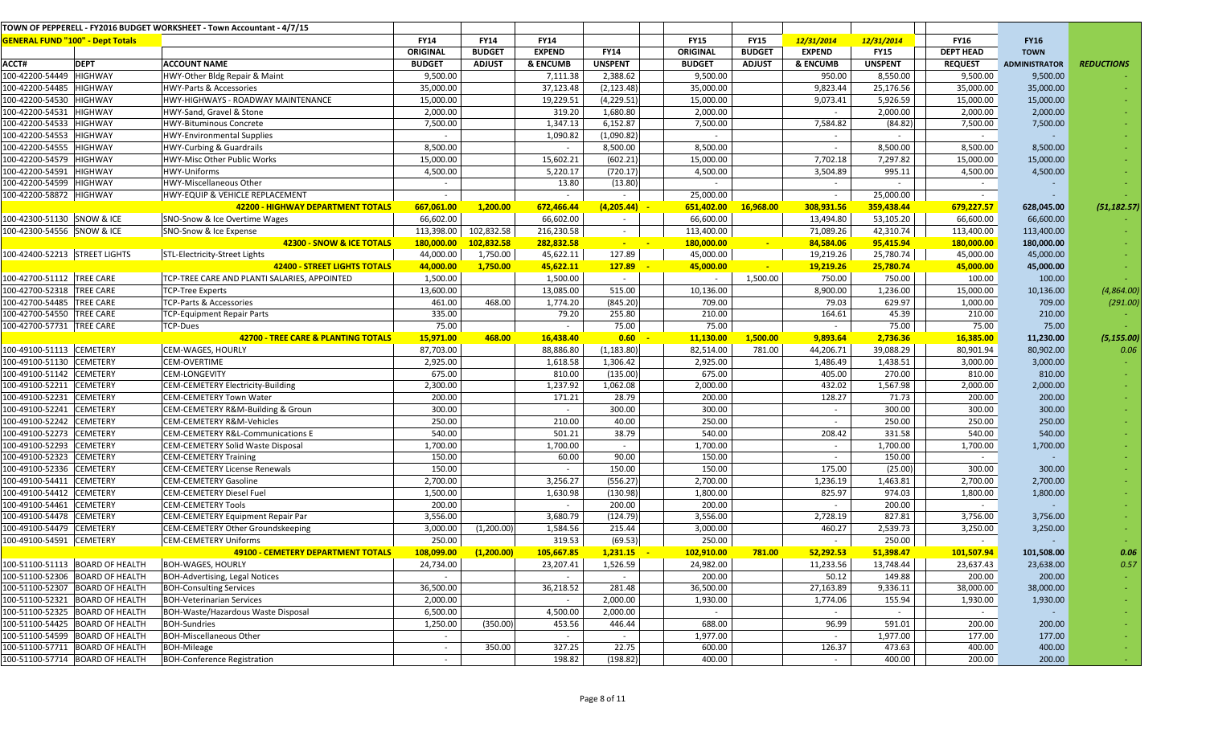|                                         |                                 | TOWN OF PEPPERELL - FY2016 BUDGET WORKSHEET - Town Accountant - 4/7/15 |                 |               |                     |                 |                 |               |               |                |                  |                      |                   |
|-----------------------------------------|---------------------------------|------------------------------------------------------------------------|-----------------|---------------|---------------------|-----------------|-----------------|---------------|---------------|----------------|------------------|----------------------|-------------------|
| <b>GENERAL FUND "100" - Dept Totals</b> |                                 |                                                                        | <b>FY14</b>     | <b>FY14</b>   | <b>FY14</b>         |                 | <b>FY15</b>     | <b>FY15</b>   | 12/31/2014    | 12/31/2014     | <b>FY16</b>      | <b>FY16</b>          |                   |
|                                         |                                 |                                                                        | <b>ORIGINAL</b> | <b>BUDGET</b> | <b>EXPEND</b>       | <b>FY14</b>     | <b>ORIGINAL</b> | <b>BUDGET</b> | <b>EXPEND</b> | <b>FY15</b>    | <b>DEPT HEAD</b> | <b>TOWN</b>          |                   |
| ACCT#                                   | <b>DEPT</b>                     | <b>ACCOUNT NAME</b>                                                    | <b>BUDGET</b>   | <b>ADJUST</b> | <b>&amp; ENCUMB</b> | <b>UNSPENT</b>  | <b>BUDGET</b>   | <b>ADJUST</b> | & ENCUMB      | <b>UNSPENT</b> | <b>REQUEST</b>   | <b>ADMINISTRATOR</b> | <b>REDUCTIONS</b> |
| 100-42200-54449                         | <b>HIGHWAY</b>                  | HWY-Other Bldg Repair & Maint                                          | 9,500.00        |               | 7,111.38            | 2,388.62        | 9,500.00        |               | 950.00        | 8,550.00       | 9,500.00         | 9,500.00             |                   |
| 100-42200-54485                         | <b>HIGHWAY</b>                  | <b>HWY-Parts &amp; Accessories</b>                                     | 35,000.00       |               | 37,123.48           | (2, 123.48)     | 35,000.00       |               | 9,823.44      | 25,176.56      | 35,000.00        | 35,000.00            |                   |
| 100-42200-54530                         | <b>HIGHWAY</b>                  | HWY-HIGHWAYS - ROADWAY MAINTENANCE                                     | 15,000.00       |               | 19,229.51           | (4,229.51)      | 15,000.00       |               | 9,073.41      | 5,926.59       | 15,000.00        | 15,000.00            |                   |
| 100-42200-54531                         | <b>HIGHWAY</b>                  | HWY-Sand, Gravel & Stone                                               | 2,000.00        |               | 319.20              | 1,680.80        | 2,000.00        |               |               | 2,000.00       | 2,000.00         | 2,000.00             |                   |
| 100-42200-54533                         | <b>HIGHWAY</b>                  | <b>HWY-Bituminous Concrete</b>                                         | 7,500.00        |               | 1,347.13            | 6,152.87        | 7,500.00        |               | 7,584.82      | (84.82)        | 7,500.00         | 7,500.00             |                   |
| 100-42200-54553                         | <b>HIGHWAY</b>                  | <b>HWY-Environmental Supplies</b>                                      | $\sim$          |               | 1,090.82            | (1,090.82)      | $\sim$          |               | $\sim$        | $\sim$         | $\sim$           |                      |                   |
| 100-42200-54555                         | <b>HIGHWAY</b>                  | <b>HWY-Curbing &amp; Guardrails</b>                                    | 8,500.00        |               | $\sim$              | 8,500.00        | 8,500.00        |               |               | 8,500.00       | 8,500.00         | 8,500.00             |                   |
| 100-42200-54579                         | <b>HIGHWAY</b>                  | HWY-Misc Other Public Works                                            | 15,000.00       |               | 15,602.21           | (602.21)        | 15,000.00       |               | 7,702.18      | 7,297.82       | 15,000.00        | 15,000.00            |                   |
| 100-42200-54591                         | <b>HIGHWAY</b>                  | HWY-Uniforms                                                           | 4,500.00        |               | 5,220.17            | (720.17)        | 4,500.00        |               | 3,504.89      | 995.11         | 4,500.00         | 4,500.00             |                   |
| 100-42200-54599                         | <b>HIGHWAY</b>                  | HWY-Miscellaneous Other                                                | $\sim$          |               | 13.80               | (13.80)         |                 |               | $\sim$        | $\sim$         | $\sim$           |                      |                   |
| 100-42200-58872 HIGHWAY                 |                                 | HWY-EQUIP & VEHICLE REPLACEMENT                                        | $\sim$          |               | $\sim$              |                 | 25,000.00       |               | $\sim$        | 25,000.00      | $\sim$           |                      |                   |
|                                         |                                 | <b>42200 - HIGHWAY DEPARTMENT TOTALS</b>                               | 667,061.00      | 1,200.00      | 672,466.44          | (4, 205.44)     | 651,402.00      | 16,968.00     | 308,931.56    | 359,438.44     | 679,227.57       | 628,045.00           | (51, 182.57)      |
| 100-42300-51130 SNOW & ICE              |                                 | SNO-Snow & Ice Overtime Wages                                          | 66,602.00       |               | 66,602.00           | $\sim$          | 66,600.00       |               | 13,494.80     | 53,105.20      | 66,600.00        | 66,600.00            |                   |
| 100-42300-54556 SNOW & ICE              |                                 | SNO-Snow & Ice Expense                                                 | 113,398.00      | 102,832.58    | 216,230.58          | $\sim$          | 113,400.00      |               | 71,089.26     | 42,310.74      | 113,400.00       | 113,400.00           |                   |
|                                         |                                 | 42300 - SNOW & ICE TOTALS                                              | 180,000.00      | 102,832.58    | 282,832.58          | <b>Contract</b> | 180,000.00      |               | 84,584.06     | 95,415.94      | 180,000.00       | 180,000.00           |                   |
| 100-42400-52213 STREET LIGHTS           |                                 | STL-Electricity-Street Lights                                          | 44,000.00       | 1,750.00      | 45,622.11           | 127.89          | 45,000.00       |               | 19,219.26     | 25,780.74      | 45,000.00        | 45,000.00            |                   |
|                                         |                                 | <b>42400 - STREET LIGHTS TOTALS</b>                                    | 44,000.00       | 1,750.00      | 45,622.11           | 127.89          | 45,000.00       | $\sim$        | 19,219.26     | 25,780.74      | 45,000.00        | 45,000.00            |                   |
| 100-42700-51112 TREE CARE               |                                 | TCP-TREE CARE AND PLANTI SALARIES, APPOINTED                           | 1,500.00        |               | 1,500.00            | $\sim$          |                 | 1,500.00      | 750.00        | 750.00         | 100.00           | 100.00               |                   |
| 100-42700-52318                         | <b>TREE CARE</b>                | <b>TCP-Tree Experts</b>                                                | 13,600.00       |               | 13,085.00           | 515.00          | 10,136.00       |               | 8,900.00      | 1,236.00       | 15,000.00        | 10,136.00            | (4,864.00)        |
| 100-42700-54485                         | <b>TREE CARE</b>                | TCP-Parts & Accessories                                                | 461.00          | 468.00        | 1,774.20            | (845.20)        | 709.00          |               | 79.03         | 629.97         | 1,000.00         | 709.00               | (291.00)          |
| 100-42700-54550                         | <b>TREE CARE</b>                | TCP-Equipment Repair Parts                                             | 335.00          |               | 79.20               | 255.80          | 210.00          |               | 164.61        | 45.39          | 210.00           | 210.00               |                   |
| 100-42700-57731                         | <b>TREE CARE</b>                | <b>TCP-Dues</b>                                                        | 75.00           |               | $\sim$              | 75.00           | 75.00           |               | $\sim$        | 75.00          | 75.00            | 75.00                |                   |
|                                         |                                 | <b>42700 - TREE CARE &amp; PLANTING TOTALS</b>                         | 15,971.00       | 468.00        | 16,438.40           | 0.60            | 11,130.00       | 1,500.00      | 9,893.64      | 2,736.36       | 16,385.00        | 11,230.00            | (5, 155.00)       |
| 100-49100-51113 CEMETERY                |                                 | CEM-WAGES, HOURLY                                                      | 87,703.00       |               | 88,886.80           | (1, 183.80)     | 82,514.00       | 781.00        | 44,206.71     | 39,088.29      | 80,901.94        | 80,902.00            | 0.06              |
| 100-49100-51130                         | <b>CEMETERY</b>                 | <b>CEM-OVERTIME</b>                                                    | 2,925.00        |               | 1,618.58            | 1,306.42        | 2,925.00        |               | 1,486.49      | 1,438.51       | 3,000.00         | 3,000.00             |                   |
| 100-49100-51142                         | <b>CEMETERY</b>                 | <b>CEM-LONGEVITY</b>                                                   | 675.00          |               | 810.00              | (135.00)        | 675.00          |               | 405.00        | 270.00         | 810.00           | 810.00               |                   |
| 100-49100-52211                         | <b>CEMETERY</b>                 | <b>CEM-CEMETERY Electricity-Building</b>                               | 2,300.00        |               | 1,237.92            | 1,062.08        | 2,000.00        |               | 432.02        | 1,567.98       | 2,000.00         | 2,000.00             |                   |
| 100-49100-52231                         | <b>CEMETERY</b>                 | <b>CEM-CEMETERY Town Water</b>                                         | 200.00          |               | 171.21              | 28.79           | 200.00          |               | 128.27        | 71.73          | 200.00           | 200.00               |                   |
| 100-49100-52241                         | <b>CEMETERY</b>                 | CEM-CEMETERY R&M-Building & Groun                                      | 300.00          |               | $\sim$              | 300.00          | 300.00          |               | $\sim$        | 300.00         | 300.00           | 300.00               |                   |
| 100-49100-52242                         | <b>CEMETERY</b>                 | <b>CEM-CEMETERY R&amp;M-Vehicles</b>                                   | 250.00          |               | 210.00              | 40.00           | 250.00          |               | $\sim$        | 250.00         | 250.00           | 250.00               |                   |
| 100-49100-52273                         | <b>CEMETERY</b>                 | CEM-CEMETERY R&L-Communications E                                      | 540.00          |               | 501.21              | 38.79           | 540.00          |               | 208.42        | 331.58         | 540.00           | 540.00               |                   |
| 100-49100-52293                         | <b>CEMETERY</b>                 | <b>CEM-CEMETERY Solid Waste Disposal</b>                               | 1,700.00        |               | 1,700.00            | $\sim$          | 1,700.00        |               | $\sim$        | 1,700.00       | 1,700.00         | 1,700.00             |                   |
| 100-49100-52323                         | <b>CEMETERY</b>                 | <b>CEM-CEMETERY Training</b>                                           | 150.00          |               | 60.00               | 90.00           | 150.00          |               | $\sim$        | 150.00         | $\sim$           |                      |                   |
| 100-49100-52336                         | <b>CEMETERY</b>                 | <b>CEM-CEMETERY License Renewals</b>                                   | 150.00          |               | $\sim$              | 150.00          | 150.00          |               | 175.00        | (25.00)        | 300.00           | 300.00               |                   |
| 100-49100-54411                         | <b>CEMETERY</b>                 | <b>CEM-CEMETERY Gasoline</b>                                           | 2,700.00        |               | 3,256.27            | (556.27)        | 2,700.00        |               | 1,236.19      | 1,463.81       | 2,700.00         | 2,700.00             |                   |
| 100-49100-54412                         | <b>CEMETERY</b>                 | <b>CEM-CEMETERY Diesel Fuel</b>                                        | 1,500.00        |               | 1,630.98            | (130.98)        | 1,800.00        |               | 825.97        | 974.03         | 1,800.00         | 1,800.00             |                   |
| 100-49100-54461                         | <b>CEMETERY</b>                 | <b>CEM-CEMETERY Tools</b>                                              | 200.00          |               | $\sim$              | 200.00          | 200.00          |               | $\sim$        | 200.00         | $\sim$           |                      |                   |
| 100-49100-54478                         | <b>CEMETERY</b>                 | CEM-CEMETERY Equipment Repair Par                                      | 3,556.00        |               | 3,680.79            | (124.79)        | 3,556.00        |               | 2,728.19      | 827.81         | 3,756.00         | 3,756.00             |                   |
| 100-49100-54479                         | <b>CEMETERY</b>                 | <b>CEM-CEMETERY Other Groundskeeping</b>                               | 3,000.00        | (1,200.00)    | 1,584.56            | 215.44          | 3,000.00        |               | 460.27        | 2,539.73       | 3,250.00         | 3,250.00             |                   |
| 100-49100-54591 CEMETERY                |                                 | <b>CEM-CEMETERY Uniforms</b>                                           | 250.00          |               | 319.53              | (69.53)         | 250.00          |               | $\sim$        | 250.00         | $\sim$           |                      |                   |
|                                         |                                 | <b>49100 - CEMETERY DEPARTMENT TOTALS</b>                              | 108,099.00      | (1, 200.00)   | 105,667.85          | 1,231.15        | 102,910.00      | 781.00        | 52,292.53     | 51,398.47      | 101,507.94       | 101,508.00           | 0.06              |
|                                         | 100-51100-51113 BOARD OF HEALTH | <b>BOH-WAGES, HOURLY</b>                                               | 24,734.00       |               | 23,207.41           | 1,526.59        | 24,982.00       |               | 11,233.56     | 13,748.44      | 23,637.43        | 23,638.00            | 0.57              |
|                                         | 100-51100-52306 BOARD OF HEALTH | <b>BOH-Advertising, Legal Notices</b>                                  | $\sim$          |               | $\sim$              | $\sim$          | 200.00          |               | 50.12         | 149.88         | 200.00           | 200.00               |                   |
|                                         | 100-51100-52307 BOARD OF HEALTH | <b>BOH-Consulting Services</b>                                         | 36,500.00       |               | 36,218.52           | 281.48          | 36,500.00       |               | 27,163.89     | 9,336.11       | 38,000.00        | 38,000.00            | $\sim$            |
|                                         | 100-51100-52321 BOARD OF HEALTH | <b>BOH-Veterinarian Services</b>                                       | 2,000.00        |               | $\sim$              | 2,000.00        | 1,930.00        |               | 1,774.06      | 155.94         | 1,930.00         | 1,930.00             | $\sim$            |
|                                         | 100-51100-52325 BOARD OF HEALTH | BOH-Waste/Hazardous Waste Disposal                                     | 6,500.00        |               | 4,500.00            | 2,000.00        | $\sim$          |               | $\sim$        | $\sim$         | $\sim$           |                      | $\sim$            |
|                                         | 100-51100-54425 BOARD OF HEALTH | <b>BOH-Sundries</b>                                                    | 1,250.00        | (350.00)      | 453.56              | 446.44          | 688.00          |               | 96.99         | 591.01         | 200.00           | 200.00               | $\sim$            |
|                                         | 100-51100-54599 BOARD OF HEALTH | <b>BOH-Miscellaneous Other</b>                                         | $\sim$          |               | $\sim$              | $\sim$          | 1,977.00        |               |               | 1,977.00       | 177.00           | 177.00               | $\sim$            |
|                                         | 100-51100-57711 BOARD OF HEALTH | <b>BOH-Mileage</b>                                                     | $\sim$          | 350.00        | 327.25              | 22.75           | 600.00          |               | 126.37        | 473.63         | 400.00           | 400.00               | $\sim$            |
|                                         | 100-51100-57714 BOARD OF HEALTH | <b>BOH-Conference Registration</b>                                     | $\sim$          |               | 198.82              | (198.82)        | 400.00          |               |               | 400.00         | 200.00           | 200.00               |                   |
|                                         |                                 |                                                                        |                 |               |                     |                 |                 |               |               |                |                  |                      |                   |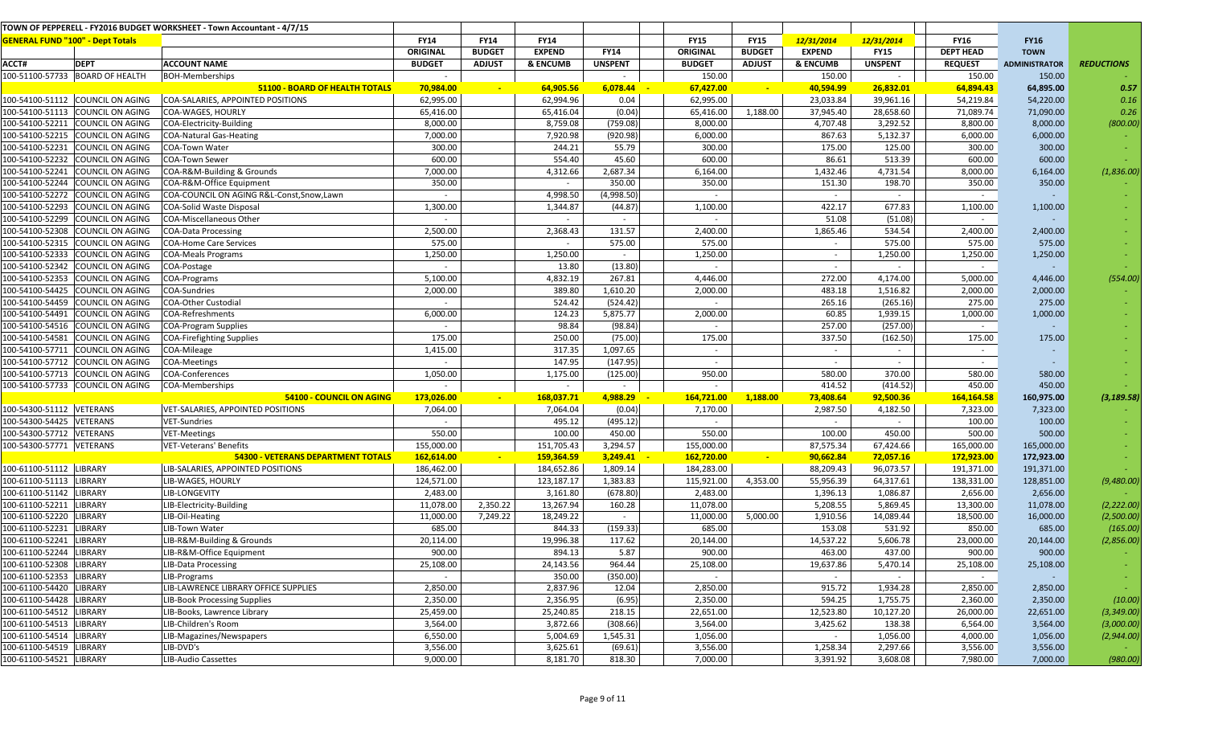|                                         |                                  | TOWN OF PEPPERELL - FY2016 BUDGET WORKSHEET - Town Accountant - 4/7/15 |               |               |               |                |               |               |               |                |                  |                      |                   |
|-----------------------------------------|----------------------------------|------------------------------------------------------------------------|---------------|---------------|---------------|----------------|---------------|---------------|---------------|----------------|------------------|----------------------|-------------------|
| <b>GENERAL FUND "100" - Dept Totals</b> |                                  |                                                                        | <b>FY14</b>   | <b>FY14</b>   | <b>FY14</b>   |                | <b>FY15</b>   | <b>FY15</b>   | 12/31/2014    | 12/31/2014     | <b>FY16</b>      | <b>FY16</b>          |                   |
|                                         |                                  |                                                                        | ORIGINAL      | <b>BUDGET</b> | <b>EXPEND</b> | <b>FY14</b>    | ORIGINAL      | <b>BUDGET</b> | <b>EXPEND</b> | <b>FY15</b>    | <b>DEPT HEAD</b> | <b>TOWN</b>          |                   |
| ACCT#                                   | <b>DEPT</b>                      | <b>ACCOUNT NAME</b>                                                    | <b>BUDGET</b> | <b>ADJUST</b> | & ENCUMB      | <b>UNSPENT</b> | <b>BUDGET</b> | <b>ADJUST</b> | & ENCUMB      | <b>UNSPENT</b> | <b>REQUEST</b>   | <b>ADMINISTRATOR</b> | <b>REDUCTIONS</b> |
|                                         | 100-51100-57733 BOARD OF HEALTH  | <b>BOH-Memberships</b>                                                 |               |               |               |                | 150.00        |               | 150.00        | $\sim$         | 150.00           | 150.00               |                   |
|                                         |                                  | 51100 - BOARD OF HEALTH TOTALS                                         | 70,984.00     | $\sim$        | 64,905.56     | 6,078.44       | 67,427.00     | $\sim$        | 40,594.99     | 26,832.01      | 64,894.43        | 64,895.00            | 0.57              |
|                                         | 100-54100-51112 COUNCIL ON AGING | COA-SALARIES, APPOINTED POSITIONS                                      | 62,995.00     |               | 62,994.96     | 0.04           | 62,995.00     |               | 23,033.84     | 39,961.16      | 54,219.84        | 54,220.00            | 0.16              |
|                                         | 100-54100-51113 COUNCIL ON AGING | COA-WAGES, HOURLY                                                      | 65,416.00     |               | 65,416.04     | (0.04)         | 65,416.00     | 1,188.00      | 37,945.40     | 28,658.60      | 71,089.74        | 71,090.00            | 0.26              |
|                                         | 100-54100-52211 COUNCIL ON AGING | COA-Electricity-Building                                               | 8,000.00      |               | 8,759.08      | (759.08)       | 8,000.00      |               | 4,707.48      | 3,292.52       | 8,800.00         | 8,000.00             | (800.00)          |
|                                         | 100-54100-52215 COUNCIL ON AGING | <b>COA-Natural Gas-Heating</b>                                         | 7,000.00      |               | 7,920.98      | (920.98)       | 6,000.00      |               | 867.63        | 5,132.37       | 6,000.00         | 6,000.00             |                   |
|                                         | 100-54100-52231 COUNCIL ON AGING | COA-Town Water                                                         | 300.00        |               | 244.21        | 55.79          | 300.00        |               | 175.00        | 125.00         | 300.00           | 300.00               |                   |
|                                         | 100-54100-52232 COUNCIL ON AGING | <b>COA-Town Sewer</b>                                                  | 600.00        |               | 554.40        | 45.60          | 600.00        |               | 86.61         | 513.39         | 600.00           | 600.00               |                   |
|                                         | 100-54100-52241 COUNCIL ON AGING | COA-R&M-Building & Grounds                                             | 7,000.00      |               | 4,312.66      | 2,687.34       | 6,164.00      |               | 1,432.46      | 4,731.54       | 8,000.00         | 6,164.00             | (1,836.00)        |
|                                         | 100-54100-52244 COUNCIL ON AGING | COA-R&M-Office Equipment                                               | 350.00        |               |               | 350.00         | 350.00        |               | 151.30        | 198.70         | 350.00           | 350.00               |                   |
|                                         | 100-54100-52272 COUNCIL ON AGING | COA-COUNCIL ON AGING R&L-Const, Snow, Lawn                             |               |               | 4,998.50      | (4,998.50)     |               |               | $\sim$        | $\sim$         | $\sim$           |                      |                   |
|                                         | 100-54100-52293 COUNCIL ON AGING | <b>COA-Solid Waste Disposal</b>                                        | 1,300.00      |               | 1,344.87      | (44.87)        | 1,100.00      |               | 422.17        | 677.83         | 1,100.00         | 1,100.00             |                   |
|                                         | 100-54100-52299 COUNCIL ON AGING | COA-Miscellaneous Other                                                |               |               | $\sim$        | $\sim$         |               |               | 51.08         | (51.08)        | $\sim$           |                      |                   |
|                                         | 100-54100-52308 COUNCIL ON AGING | <b>COA-Data Processing</b>                                             | 2,500.00      |               | 2,368.43      | 131.57         | 2,400.00      |               | 1,865.46      | 534.54         | 2,400.00         | 2,400.00             |                   |
|                                         | 100-54100-52315 COUNCIL ON AGING | <b>COA-Home Care Services</b>                                          | 575.00        |               | $\sim$        | 575.00         | 575.00        |               | $\sim$        | 575.00         | 575.00           | 575.00               |                   |
|                                         | 100-54100-52333 COUNCIL ON AGING | <b>COA-Meals Programs</b>                                              | 1,250.00      |               | 1,250.00      | $\sim$         | 1,250.00      |               | $\sim$        | 1,250.00       | 1,250.00         | 1,250.00             |                   |
|                                         | 00-54100-52342 COUNCIL ON AGING  | COA-Postage                                                            | $\sim$        |               | 13.80         | (13.80)        | $\sim$        |               | $\sim$        | $\sim$         | $\sim$           |                      |                   |
|                                         | 100-54100-52353 COUNCIL ON AGING | COA-Programs                                                           | 5,100.00      |               | 4,832.19      | 267.81         | 4,446.00      |               | 272.00        | 4,174.00       | 5,000.00         | 4,446.00             | (554.00)          |
|                                         | 100-54100-54425 COUNCIL ON AGING | COA-Sundries                                                           | 2,000.00      |               | 389.80        | 1,610.20       | 2,000.00      |               | 483.18        | 1,516.82       | 2,000.00         | 2,000.00             |                   |
|                                         | 100-54100-54459 COUNCIL ON AGING | <b>COA-Other Custodial</b>                                             |               |               | 524.42        | (524.42)       |               |               | 265.16        | (265.16)       | 275.00           | 275.00               |                   |
|                                         | 100-54100-54491 COUNCIL ON AGING | COA-Refreshments                                                       | 6,000.00      |               | 124.23        | 5,875.77       | 2,000.00      |               | 60.85         | 1,939.15       | 1,000.00         | 1,000.00             |                   |
|                                         | 100-54100-54516 COUNCIL ON AGING | <b>COA-Program Supplies</b>                                            | $\sim$        |               | 98.84         | (98.84)        |               |               | 257.00        | (257.00)       | $\sim$           |                      |                   |
|                                         | 100-54100-54581 COUNCIL ON AGING | <b>COA-Firefighting Supplies</b>                                       | 175.00        |               | 250.00        | (75.00)        | 175.00        |               | 337.50        | (162.50)       | 175.00           | 175.00               |                   |
|                                         | 100-54100-57711 COUNCIL ON AGING | COA-Mileage                                                            | 1,415.00      |               | 317.35        | 1,097.65       | $\sim$        |               | $\sim$        | $\sim$         | $\sim$           |                      |                   |
|                                         | 100-54100-57712 COUNCIL ON AGING | <b>COA-Meetings</b>                                                    |               |               | 147.95        | (147.95)       | $\sim$        |               | $\sim$        | $\sim$         | $\sim$           |                      |                   |
|                                         | 100-54100-57713 COUNCIL ON AGING | COA-Conferences                                                        | 1,050.00      |               | 1,175.00      | (125.00)       | 950.00        |               | 580.00        | 370.00         | 580.00           | 580.00               |                   |
|                                         | 100-54100-57733 COUNCIL ON AGING | COA-Memberships                                                        | $\sim$        |               | $\sim$        | $\sim$         | $\sim$        |               | 414.52        | (414.52)       | 450.00           | 450.00               |                   |
|                                         |                                  | 54100 - COUNCIL ON AGING                                               | 173,026.00    |               | 168,037.71    | 4,988.29       | 164,721.00    | 1,188.00      | 73,408.64     | 92,500.36      | 164,164.58       | 160,975.00           | (3, 189.58)       |
| 100-54300-51112 VETERANS                |                                  | VET-SALARIES, APPOINTED POSITIONS                                      | 7,064.00      |               | 7,064.04      | (0.04)         | 7,170.00      |               | 2,987.50      | 4,182.50       | 7,323.00         | 7,323.00             |                   |
| 100-54300-54425 VETERANS                |                                  | VET-Sundries                                                           | $\sim$        |               | 495.12        | (495.12)       | $\sim$        |               | $\sim$        | $\sim$         | 100.00           | 100.00               |                   |
| 100-54300-57712 VETERANS                |                                  | <b>VET-Meetings</b>                                                    | 550.00        |               | 100.00        | 450.00         | 550.00        |               | 100.00        | 450.00         | 500.00           | 500.00               |                   |
| 100-54300-57771 VETERANS                |                                  | VET-Veterans' Benefits                                                 | 155,000.00    |               | 151,705.43    | 3,294.57       | 155,000.00    |               | 87,575.34     | 67,424.66      | 165,000.00       | 165,000.00           |                   |
|                                         |                                  | <b>54300 - VETERANS DEPARTMENT TOTALS</b>                              | 162,614.00    |               | 159,364.59    | 3,249.41       | 162,720.00    | <b>Page</b>   | 90,662.84     | 72,057.16      | 172,923.00       | 172,923.00           |                   |
| 100-61100-51112 LIBRARY                 |                                  | LIB-SALARIES, APPOINTED POSITIONS                                      | 186,462.00    |               | 184,652.86    | 1,809.14       | 184,283.00    |               | 88,209.43     | 96,073.57      | 191,371.00       | 191,371.00           |                   |
| 100-61100-51113 LIBRARY                 |                                  | LIB-WAGES, HOURLY                                                      | 124,571.00    |               | 123,187.17    | 1,383.83       | 115,921.00    | 4,353.00      | 55,956.39     | 64,317.61      | 138,331.00       | 128,851.00           | (9,480.00)        |
| 100-61100-51142 LIBRARY                 |                                  | LIB-LONGEVITY                                                          | 2,483.00      |               | 3,161.80      | (678.80)       | 2,483.00      |               | 1,396.13      | 1,086.87       | 2,656.00         | 2,656.00             |                   |
| 100-61100-52211                         | <b>LIBRARY</b>                   | LIB-Electricity-Building                                               | 11,078.00     | 2,350.22      | 13,267.94     | 160.28         | 11,078.00     |               | 5,208.55      | 5,869.45       | 13,300.00        | 11,078.00            | (2, 222.00)       |
| 100-61100-52220 LIBRARY                 |                                  | LIB-Oil-Heating                                                        | 11,000.00     | 7,249.22      | 18,249.22     | $\sim$         | 11,000.00     | 5,000.00      | 1,910.56      | 14,089.44      | 18,500.00        | 16,000.00            | (2,500.00)        |
| 00-61100-52231                          | <b>LIBRARY</b>                   | LIB-Town Water                                                         | 685.00        |               | 844.33        | (159.33)       | 685.00        |               | 153.08        | 531.92         | 850.00           | 685.00               | (165.00)          |
| 100-61100-52241 LIBRARY                 |                                  | LIB-R&M-Building & Grounds                                             | 20,114.00     |               | 19,996.38     | 117.62         | 20,144.00     |               | 14,537.22     | 5,606.78       | 23,000.00        | 20,144.00            | (2,856.00)        |
| 100-61100-52244 LIBRARY                 |                                  | LIB-R&M-Office Equipment                                               | 900.00        |               | 894.13        | 5.87           | 900.00        |               | 463.00        | 437.00         | 900.00           | 900.00               |                   |
| 100-61100-52308 LIBRARY                 |                                  | LIB-Data Processing                                                    | 25,108.00     |               | 24,143.56     | 964.44         | 25,108.00     |               | 19,637.86     | 5,470.14       | 25,108.00        | 25,108.00            |                   |
| 100-61100-52353 LIBRARY                 |                                  | LIB-Programs                                                           | $\sim$        |               | 350.00        | (350.00)       | $\sim$        |               | $\sim$        | $\sim$         | $\sim$ $-$       |                      |                   |
| 100-61100-54420 LIBRARY                 |                                  | LIB-LAWRENCE LIBRARY OFFICE SUPPLIES                                   | 2,850.00      |               | 2,837.96      | 12.04          | 2,850.00      |               | 915.72        | 1,934.28       | 2,850.00         | 2,850.00             |                   |
| 100-61100-54428 LIBRARY                 |                                  | <b>LIB-Book Processing Supplies</b>                                    | 2,350.00      |               | 2,356.95      | (6.95)         | 2,350.00      |               | 594.25        | 1,755.75       | 2,360.00         | 2,350.00             | (10.00)           |
| 100-61100-54512 LIBRARY                 |                                  | LIB-Books, Lawrence Library                                            | 25,459.00     |               | 25,240.85     | 218.15         | 22,651.00     |               | 12,523.80     | 10,127.20      | 26,000.00        | 22,651.00            | (3, 349.00)       |
| 100-61100-54513 LIBRARY                 |                                  | LIB-Children's Room                                                    | 3,564.00      |               | 3,872.66      | (308.66)       | 3,564.00      |               | 3,425.62      | 138.38         | 6,564.00         | 3,564.00             | (3,000.00)        |
| 100-61100-54514 LIBRARY                 |                                  | LIB-Magazines/Newspapers                                               | 6,550.00      |               | 5,004.69      | 1,545.31       | 1,056.00      |               | $\sim$        | 1,056.00       | 4,000.00         | 1,056.00             | (2,944.00)        |
| 100-61100-54519 LIBRARY                 |                                  | LIB-DVD's                                                              | 3,556.00      |               | 3,625.61      | (69.61)        | 3,556.00      |               | 1,258.34      | 2,297.66       | 3,556.00         | 3,556.00             |                   |
| 100-61100-54521 LIBRARY                 |                                  | LIB-Audio Cassettes                                                    | 9,000.00      |               | 8,181.70      | 818.30         | 7,000.00      |               | 3,391.92      | 3,608.08       | 7,980.00         | 7,000.00             | (980.00)          |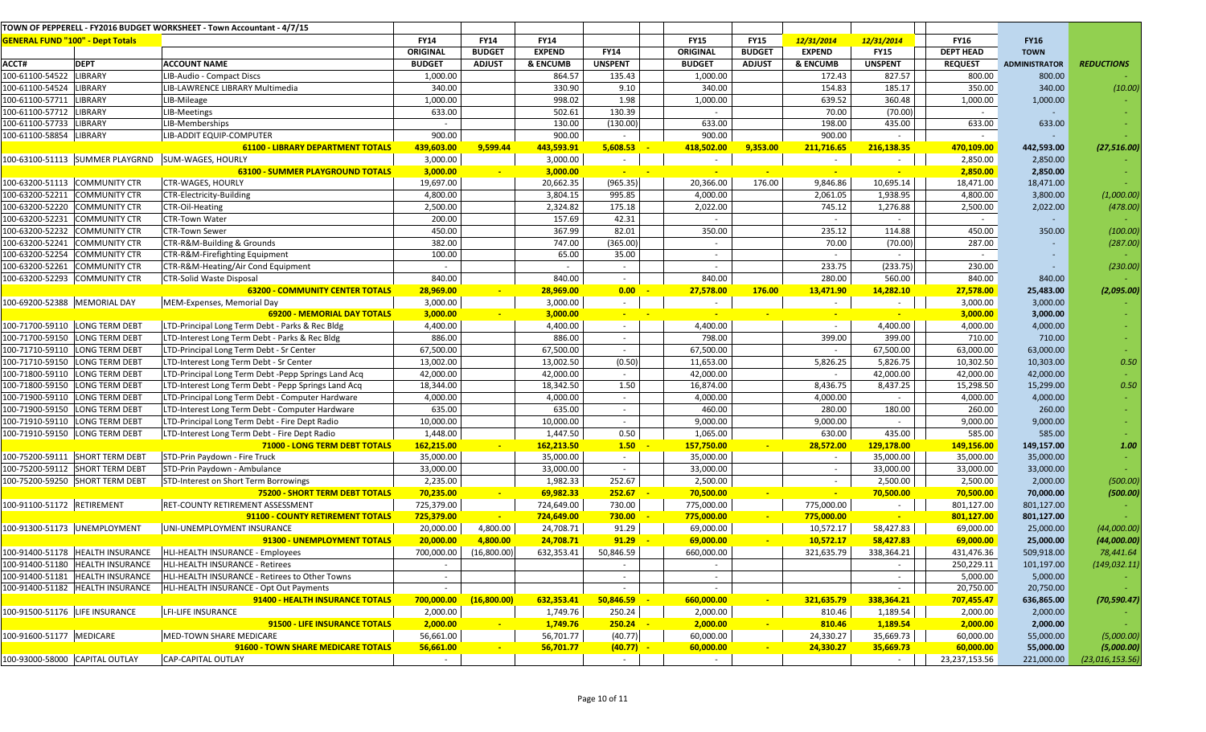|                                         |                                    | TOWN OF PEPPERELL - FY2016 BUDGET WORKSHEET - Town Accountant - 4/7/15 |                 |               |               |                          |                 |               |               |                          |                  |                      |                   |
|-----------------------------------------|------------------------------------|------------------------------------------------------------------------|-----------------|---------------|---------------|--------------------------|-----------------|---------------|---------------|--------------------------|------------------|----------------------|-------------------|
| <b>GENERAL FUND "100" - Dept Totals</b> |                                    |                                                                        | <b>FY14</b>     | <b>FY14</b>   | <b>FY14</b>   |                          | <b>FY15</b>     | <b>FY15</b>   | 12/31/2014    | 12/31/2014               | <b>FY16</b>      | <b>FY16</b>          |                   |
|                                         |                                    |                                                                        | <b>ORIGINAL</b> | <b>BUDGET</b> | <b>EXPEND</b> | <b>FY14</b>              | <b>ORIGINAL</b> | <b>BUDGET</b> | <b>EXPEND</b> | <b>FY15</b>              | <b>DEPT HEAD</b> | <b>TOWN</b>          |                   |
| ACCT#                                   | <b>DEPT</b>                        | <b>ACCOUNT NAME</b>                                                    | <b>BUDGET</b>   | <b>ADJUST</b> | & ENCUMB      | <b>UNSPENT</b>           | <b>BUDGET</b>   | <b>ADJUST</b> | & ENCUMB      | <b>UNSPENT</b>           | <b>REQUEST</b>   | <b>ADMINISTRATOR</b> | <b>REDUCTIONS</b> |
| 100-61100-54522 LIBRARY                 |                                    | LIB-Audio - Compact Discs                                              | 1,000.00        |               | 864.57        | 135.43                   | 1,000.00        |               | 172.43        | 827.57                   | 800.00           | 800.00               |                   |
| 100-61100-54524                         | <b>LIBRARY</b>                     | LIB-LAWRENCE LIBRARY Multimedia                                        | 340.00          |               | 330.90        | 9.10                     | 340.00          |               | 154.83        | 185.17                   | 350.00           | 340.00               | (10.00)           |
| 100-61100-57711                         | <b>LIBRARY</b>                     | LIB-Mileage                                                            | 1,000.00        |               | 998.02        | 1.98                     | 1,000.00        |               | 639.52        | 360.48                   | 1,000.00         | 1,000.00             |                   |
| 100-61100-57712 LIBRARY                 |                                    | LIB-Meetings                                                           | 633.00          |               | 502.61        | 130.39                   | $\sim$          |               | 70.00         | (70.00)                  | $\sim$           |                      |                   |
| 100-61100-57733 LIBRARY                 |                                    | LIB-Memberships                                                        | $\sim$          |               | 130.00        | (130.00)                 | 633.00          |               | 198.00        | 435.00                   | 633.00           | 633.00               |                   |
| 100-61100-58854                         | LIBRARY                            | LIB-ADDIT EQUIP-COMPUTER                                               | 900.00          |               | 900.00        | $\sim$                   | 900.00          |               | 900.00        | $\overline{\phantom{a}}$ | $\sim$           |                      |                   |
|                                         |                                    | <b>61100 - LIBRARY DEPARTMENT TOTALS</b>                               | 439,603.00      | 9,599.44      | 443,593.91    | 5,608.53                 | 418,502.00      | 9,353.00      | 211,716.65    | 216,138.35               | 470,109.00       | 442,593.00           | (27, 516.00)      |
|                                         |                                    | 100-63100-51113 SUMMER PLAYGRND SUM-WAGES, HOURLY                      | 3,000.00        |               | 3,000.00      | $\sim$                   | $\sim$          |               | $\sim$        |                          | 2,850.00         | 2,850.00             |                   |
|                                         |                                    | <b>63100 - SUMMER PLAYGROUND TOTALS</b>                                | 3,000.00        |               | 3,000.00      | $\sim$ $\sim$            | $\sim$          | $\sim$        | $\sim$        | $\sim$                   | 2,850.00         | 2,850.00             |                   |
|                                         | 100-63200-51113 COMMUNITY CTR      | <b>CTR-WAGES, HOURLY</b>                                               | 19,697.00       |               | 20,662.35     | (965.35)                 | 20,366.00       | 176.00        | 9,846.86      | 10,695.14                | 18,471.00        | 18,471.00            |                   |
|                                         | 100-63200-52211 COMMUNITY CTR      | CTR-Electricity-Building                                               | 4,800.00        |               | 3,804.15      | 995.85                   | 4,000.00        |               | 2,061.05      | 1,938.95                 | 4,800.00         | 3,800.00             | (1,000.00)        |
|                                         | 100-63200-52220 COMMUNITY CTR      | <b>CTR-Oil-Heating</b>                                                 | 2,500.00        |               | 2,324.82      | 175.18                   | 2,022.00        |               | 745.12        | 1,276.88                 | 2,500.00         | 2,022.00             | (478.00)          |
| 100-63200-52231                         | <b>COMMUNITY CTR</b>               | CTR-Town Water                                                         | 200.00          |               | 157.69        | 42.31                    |                 |               | $\sim$        | $\sim$                   | $\sim$           |                      |                   |
|                                         | 100-63200-52232 COMMUNITY CTR      | <b>CTR-Town Sewer</b>                                                  | 450.00          |               | 367.99        | 82.01                    | 350.00          |               | 235.12        | 114.88                   | 450.00           | 350.00               | (100.00)          |
| 100-63200-52241                         | <b>COMMUNITY CTR</b>               | CTR-R&M-Building & Grounds                                             | 382.00          |               | 747.00        | (365.00)                 |                 |               | 70.00         | (70.00)                  | 287.00           |                      | (287.00)          |
|                                         | 100-63200-52254 COMMUNITY CTR      | CTR-R&M-Firefighting Equipment                                         | 100.00          |               | 65.00         | 35.00                    |                 |               | $\sim$        | $\sim$                   | $\sim$           |                      |                   |
| 100-63200-52261                         | <b>COMMUNITY CTR</b>               | CTR-R&M-Heating/Air Cond Equipment                                     | $\sim$          |               | $\sim$        | $\sim$                   | $\sim$          |               | 233.75        | (233.75)                 | 230.00           |                      | (230.00)          |
|                                         | 100-63200-52293 COMMUNITY CTR      | <b>CTR-Solid Waste Disposal</b>                                        | 840.00          |               | 840.00        | $\overline{\phantom{a}}$ | 840.00          |               | 280.00        | 560.00                   | 840.00           | 840.00               |                   |
|                                         |                                    | <b>63200 - COMMUNITY CENTER TOTALS</b>                                 | 28,969.00       |               | 28,969.00     | 0.00                     | 27,578.00       | 176.00        | 13,471.90     | 14,282.10                | 27,578.00        | 25,483.00            | (2,095.00)        |
| 100-69200-52388 MEMORIAL DAY            |                                    | MEM-Expenses, Memorial Day                                             | 3,000.00        |               | 3,000.00      |                          |                 |               | $\sim$        |                          | 3,000.00         | 3,000.00             |                   |
|                                         |                                    | <b>69200 - MEMORIAL DAY TOTALS</b>                                     | 3,000.00        |               | 3,000.00      | <b>Contract</b>          |                 |               |               |                          | 3,000.00         | 3,000.00             |                   |
|                                         | 100-71700-59110 LONG TERM DEBT     | LTD-Principal Long Term Debt - Parks & Rec Bldg                        | 4,400.00        |               | 4,400.00      | $\sim$                   | 4,400.00        |               | $\sim$        | 4,400.00                 | 4,000.00         | 4,000.00             |                   |
|                                         | 100-71700-59150 LONG TERM DEBT     | LTD-Interest Long Term Debt - Parks & Rec Bldg                         | 886.00          |               | 886.00        | $\sim$                   | 798.00          |               | 399.00        | 399.00                   | 710.00           | 710.00               |                   |
|                                         | 100-71710-59110  LONG TERM DEBT    | LTD-Principal Long Term Debt - Sr Center                               | 67,500.00       |               | 67,500.00     | $\sim$                   | 67,500.00       |               |               | 67,500.00                | 63,000.00        | 63,000.00            |                   |
|                                         | 100-71710-59150 LONG TERM DEBT     | LTD-Interest Long Term Debt - Sr Center                                | 13,002.00       |               | 13,002.50     | (0.50)                   | 11,653.00       |               | 5,826.25      | 5,826.75                 | 10,302.50        | 10,303.00            | 0.50              |
|                                         | 100-71800-59110 LONG TERM DEBT     | LTD-Principal Long Term Debt -Pepp Springs Land Acq                    | 42,000.00       |               | 42,000.00     | $\sim$                   | 42,000.00       |               |               | 42,000.00                | 42,000.00        | 42,000.00            |                   |
| 100-71800-59150                         | <b>LONG TERM DEBT</b>              | LTD-Interest Long Term Debt - Pepp Springs Land Acq                    | 18,344.00       |               | 18,342.50     | 1.50                     | 16,874.00       |               | 8,436.75      | 8,437.25                 | 15,298.50        | 15,299.00            | 0.50              |
|                                         | 100-71900-59110 LONG TERM DEBT     | LTD-Principal Long Term Debt - Computer Hardware                       | 4,000.00        |               | 4,000.00      | $\sim$                   | 4,000.00        |               | 4,000.00      | $\sim$                   | 4,000.00         | 4,000.00             |                   |
| 100-71900-59150                         | <b>LONG TERM DEBT</b>              | LTD-Interest Long Term Debt - Computer Hardware                        | 635.00          |               | 635.00        | $\sim$                   | 460.00          |               | 280.00        | 180.00                   | 260.00           | 260.00               |                   |
|                                         | 100-71910-59110 LONG TERM DEBT     | LTD-Principal Long Term Debt - Fire Dept Radio                         | 10,000.00       |               | 10,000.00     | $\sim$                   | 9,000.00        |               | 9,000.00      | $\sim$                   | 9,000.00         | 9,000.00             |                   |
|                                         | 100-71910-59150  LONG TERM DEBT    | LTD-Interest Long Term Debt - Fire Dept Radio                          | 1,448.00        |               | 1,447.50      | 0.50                     | 1,065.00        |               | 630.00        | 435.00                   | 585.00           | 585.00               |                   |
|                                         |                                    | 71000 - LONG TERM DEBT TOTALS                                          | 162,215.00      |               | 162,213.50    | 1.50                     | 157,750.00      |               | 28,572.00     | 129,178.00               | 149,156.00       | 149,157.00           | 1.00              |
|                                         | L00-75200-59111 SHORT TERM DEBT    | STD-Prin Paydown - Fire Truck                                          | 35,000.00       |               | 35,000.00     | $\sim$                   | 35,000.00       |               | $\sim$        | 35,000.00                | 35,000.00        | 35,000.00            |                   |
|                                         | 100-75200-59112 SHORT TERM DEBT    | STD-Prin Paydown - Ambulance                                           | 33,000.00       |               | 33,000.00     | $\sim$                   | 33,000.00       |               | $\sim$        | 33,000.00                | 33,000.00        | 33,000.00            |                   |
|                                         | 100-75200-59250 SHORT TERM DEBT    | STD-Interest on Short Term Borrowings                                  | 2,235.00        |               | 1,982.33      | 252.67                   | 2,500.00        |               | $\sim$        | 2,500.00                 | 2,500.00         | 2,000.00             | (500.00)          |
|                                         |                                    | 75200 - SHORT TERM DEBT TOTALS                                         | 70,235.00       | $\sim$        | 69,982.33     | 252.67                   | 70,500.00       | $\sim$        |               | 70,500.00                | 70,500.00        | 70,000.00            | (500.00)          |
| 100-91100-51172 RETIREMENT              |                                    | RET-COUNTY RETIREMENT ASSESSMENT                                       | 725,379.00      |               | 724,649.00    | 730.00                   | 775,000.00      |               | 775,000.00    |                          | 801,127.00       | 801,127.00           |                   |
|                                         |                                    | 91100 - COUNTY RETIREMENT TOTALS                                       | 725,379.00      |               | 724,649.00    | 730.00                   | 775,000.00      |               | 775,000.00    |                          | 801,127.00       | 801,127.00           |                   |
|                                         | 100-91300-51173 UNEMPLOYMENT       | UNI-UNEMPLOYMENT INSURANCE                                             | 20,000.00       | 4,800.00      | 24,708.71     | 91.29                    | 69,000.00       |               | 10,572.17     | 58,427.83                | 69,000.00        | 25,000.00            | (44,000.00)       |
|                                         |                                    | 91300 - UNEMPLOYMENT TOTALS                                            | 20,000.00       | 4,800.00      | 24,708.71     | 91.29                    | 69,000.00       | $\sim$        | 10,572.17     | 58,427.83                | 69,000.00        | 25,000.00            | (44,000.00)       |
|                                         |                                    | 100-91400-51178 HEALTH INSURANCE HLI-HEALTH INSURANCE - Employees      | 700,000.00      | (16,800.00)   | 632,353.41    | 50,846.59                | 660,000.00      |               | 321,635.79    | 338,364.21               | 431,476.36       | 509,918.00           | 78,441.64         |
|                                         | 100-91400-51180   HEALTH INSURANCE | HLI-HEALTH INSURANCE - Retirees                                        | $\sim$          |               |               | $\sim$                   | $\sim$          |               |               |                          | 250,229.11       | 101,197.00           | (149, 032.11)     |
|                                         | 100-91400-51181  HEALTH INSURANCE  | HLI-HEALTH INSURANCE - Retirees to Other Towns                         | $\sim$          |               |               | $\sim$                   | $\sim$          |               |               | $\sim$                   | 5,000.00         | 5,000.00             |                   |
|                                         | 100-91400-51182  HEALTH INSURANCE  | HLI-HEALTH INSURANCE - Opt Out Payments                                |                 |               |               | $\overline{\phantom{a}}$ | $\sim$          |               |               | $\overline{\phantom{a}}$ | 20,750.00        | 20,750.00            |                   |
|                                         |                                    | 91400 - HEALTH INSURANCE TOTALS                                        | 700,000.00      | (16,800.00)   | 632,353.41    | 50,846.59                | 660,000.00      |               | 321,635.79    | 338,364.21               | 707,455.47       | 636,865.00           | (70, 590.47)      |
| 100-91500-51176 LIFE INSURANCE          |                                    | LFI-LIFE INSURANCE                                                     | 2,000.00        |               | 1,749.76      | 250.24                   | 2,000.00        |               | 810.46        | 1,189.54                 | 2,000.00         | 2,000.00             |                   |
|                                         |                                    | 91500 - LIFE INSURANCE TOTALS                                          | 2,000.00        |               | 1,749.76      | 250.24                   | 2,000.00        |               | 810.46        | 1,189.54                 | 2,000.00         | 2,000.00             |                   |
| 100-91600-51177 MEDICARE                |                                    | <b>MED-TOWN SHARE MEDICARE</b>                                         | 56,661.00       |               | 56,701.77     | (40.77)                  | 60,000.00       |               | 24,330.27     | 35,669.73                | 60,000.00        | 55,000.00            | (5,000.00)        |
|                                         |                                    | 91600 - TOWN SHARE MEDICARE TOTALS                                     | 56,661.00       | $\sim$        | 56,701.77     | $(40.77) -$              | 60,000.00       | $\sim$        | 24,330.27     | 35,669.73                | 60,000.00        | 55,000.00            | (5,000.00)        |
| 100-93000-58000 CAPITAL OUTLAY          |                                    | <b>CAP-CAPITAL OUTLAY</b>                                              | $\sim$          |               |               |                          |                 |               |               | $\sim$                   | 23,237,153.56    | 221,000.00           | (23,016,153.56)   |